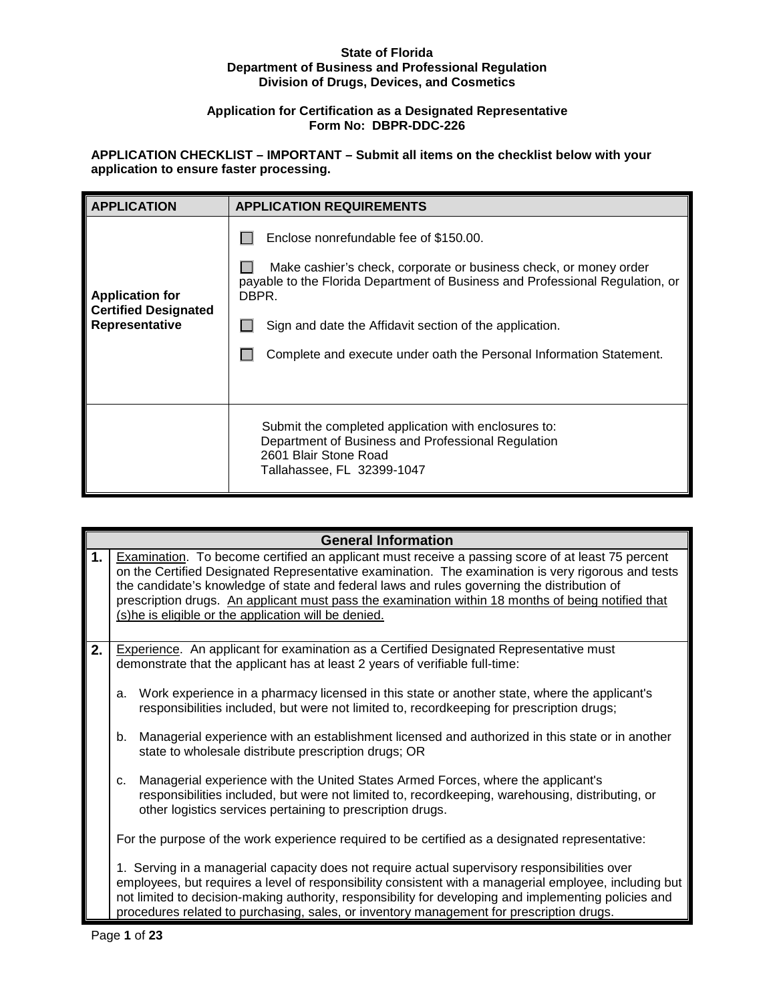## **State of Florida Department of Business and Professional Regulation Division of Drugs, Devices, and Cosmetics**

## **Application for Certification as a Designated Representative Form No: DBPR-DDC-226**

**APPLICATION CHECKLIST – IMPORTANT – Submit all items on the checklist below with your application to ensure faster processing.**

| <b>APPLICATION</b>                                                      | <b>APPLICATION REQUIREMENTS</b>                                                                                                                                                                                                                                                                                                         |
|-------------------------------------------------------------------------|-----------------------------------------------------------------------------------------------------------------------------------------------------------------------------------------------------------------------------------------------------------------------------------------------------------------------------------------|
| <b>Application for</b><br><b>Certified Designated</b><br>Representative | Enclose nonrefundable fee of \$150.00.<br>Make cashier's check, corporate or business check, or money order<br>payable to the Florida Department of Business and Professional Regulation, or<br>DBPR.<br>Sign and date the Affidavit section of the application.<br>Complete and execute under oath the Personal Information Statement. |
|                                                                         | Submit the completed application with enclosures to:<br>Department of Business and Professional Regulation<br>2601 Blair Stone Road<br>Tallahassee, FL 32399-1047                                                                                                                                                                       |

|    | <b>General Information</b>                                                                                                                                                                                                                                                                                                                                                                                                                                           |
|----|----------------------------------------------------------------------------------------------------------------------------------------------------------------------------------------------------------------------------------------------------------------------------------------------------------------------------------------------------------------------------------------------------------------------------------------------------------------------|
| 1. | Examination. To become certified an applicant must receive a passing score of at least 75 percent<br>on the Certified Designated Representative examination. The examination is very rigorous and tests<br>the candidate's knowledge of state and federal laws and rules governing the distribution of<br>prescription drugs. An applicant must pass the examination within 18 months of being notified that<br>(s)he is eligible or the application will be denied. |
| 2. | <b>Experience.</b> An applicant for examination as a Certified Designated Representative must<br>demonstrate that the applicant has at least 2 years of verifiable full-time:                                                                                                                                                                                                                                                                                        |
|    | Work experience in a pharmacy licensed in this state or another state, where the applicant's<br>a.<br>responsibilities included, but were not limited to, recordkeeping for prescription drugs;                                                                                                                                                                                                                                                                      |
|    | Managerial experience with an establishment licensed and authorized in this state or in another<br>b.<br>state to wholesale distribute prescription drugs; OR                                                                                                                                                                                                                                                                                                        |
|    | Managerial experience with the United States Armed Forces, where the applicant's<br>C.<br>responsibilities included, but were not limited to, recordkeeping, warehousing, distributing, or<br>other logistics services pertaining to prescription drugs.                                                                                                                                                                                                             |
|    | For the purpose of the work experience required to be certified as a designated representative:                                                                                                                                                                                                                                                                                                                                                                      |
|    | 1. Serving in a managerial capacity does not require actual supervisory responsibilities over<br>employees, but requires a level of responsibility consistent with a managerial employee, including but<br>not limited to decision-making authority, responsibility for developing and implementing policies and<br>procedures related to purchasing, sales, or inventory management for prescription drugs.                                                         |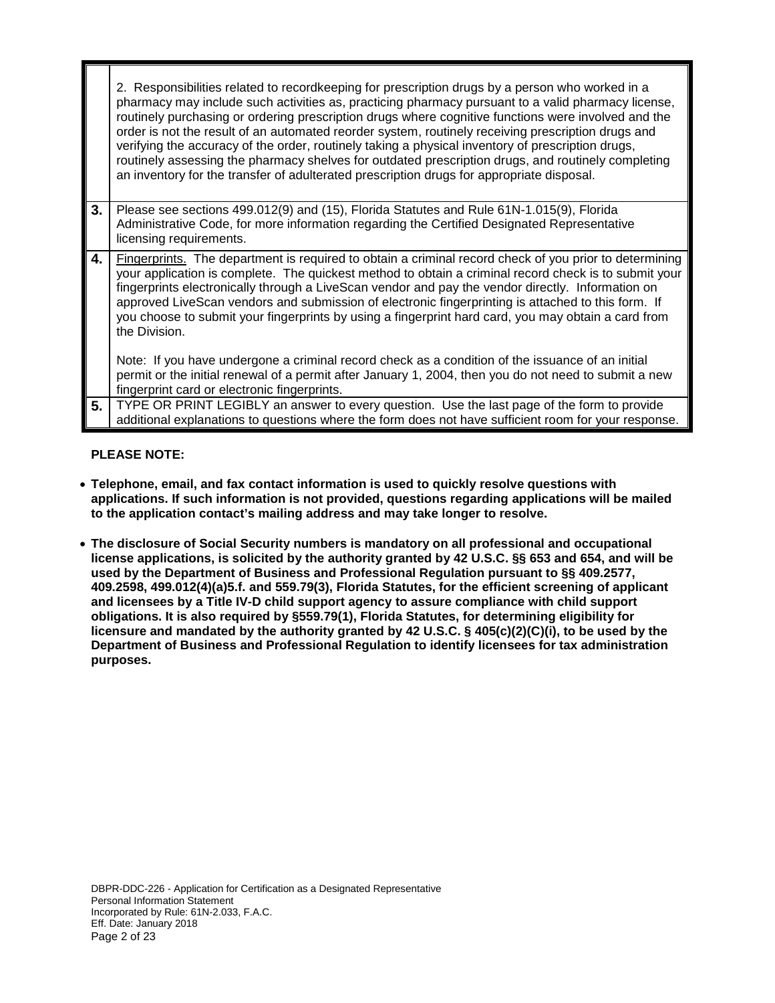|    | 2. Responsibilities related to recordkeeping for prescription drugs by a person who worked in a<br>pharmacy may include such activities as, practicing pharmacy pursuant to a valid pharmacy license,<br>routinely purchasing or ordering prescription drugs where cognitive functions were involved and the<br>order is not the result of an automated reorder system, routinely receiving prescription drugs and<br>verifying the accuracy of the order, routinely taking a physical inventory of prescription drugs,<br>routinely assessing the pharmacy shelves for outdated prescription drugs, and routinely completing<br>an inventory for the transfer of adulterated prescription drugs for appropriate disposal. |
|----|----------------------------------------------------------------------------------------------------------------------------------------------------------------------------------------------------------------------------------------------------------------------------------------------------------------------------------------------------------------------------------------------------------------------------------------------------------------------------------------------------------------------------------------------------------------------------------------------------------------------------------------------------------------------------------------------------------------------------|
| 3. | Please see sections 499.012(9) and (15), Florida Statutes and Rule 61N-1.015(9), Florida<br>Administrative Code, for more information regarding the Certified Designated Representative<br>licensing requirements.                                                                                                                                                                                                                                                                                                                                                                                                                                                                                                         |
| 4. | <b>Fingerprints.</b> The department is required to obtain a criminal record check of you prior to determining<br>your application is complete. The quickest method to obtain a criminal record check is to submit your<br>fingerprints electronically through a LiveScan vendor and pay the vendor directly. Information on<br>approved LiveScan vendors and submission of electronic fingerprinting is attached to this form. If<br>you choose to submit your fingerprints by using a fingerprint hard card, you may obtain a card from<br>the Division.                                                                                                                                                                  |
|    | Note: If you have undergone a criminal record check as a condition of the issuance of an initial<br>permit or the initial renewal of a permit after January 1, 2004, then you do not need to submit a new<br>fingerprint card or electronic fingerprints.                                                                                                                                                                                                                                                                                                                                                                                                                                                                  |
| 5. | TYPE OR PRINT LEGIBLY an answer to every question. Use the last page of the form to provide<br>additional explanations to questions where the form does not have sufficient room for your response.                                                                                                                                                                                                                                                                                                                                                                                                                                                                                                                        |

# **PLEASE NOTE:**

- **Telephone, email, and fax contact information is used to quickly resolve questions with applications. If such information is not provided, questions regarding applications will be mailed to the application contact's mailing address and may take longer to resolve.**
- **The disclosure of Social Security numbers is mandatory on all professional and occupational license applications, is solicited by the authority granted by 42 U.S.C. §§ 653 and 654, and will be used by the Department of Business and Professional Regulation pursuant to §§ 409.2577, 409.2598, 499.012(4)(a)5.f. and 559.79(3), Florida Statutes, for the efficient screening of applicant and licensees by a Title IV-D child support agency to assure compliance with child support obligations. It is also required by §559.79(1), Florida Statutes, for determining eligibility for licensure and mandated by the authority granted by 42 U.S.C. § 405(c)(2)(C)(i), to be used by the Department of Business and Professional Regulation to identify licensees for tax administration purposes.**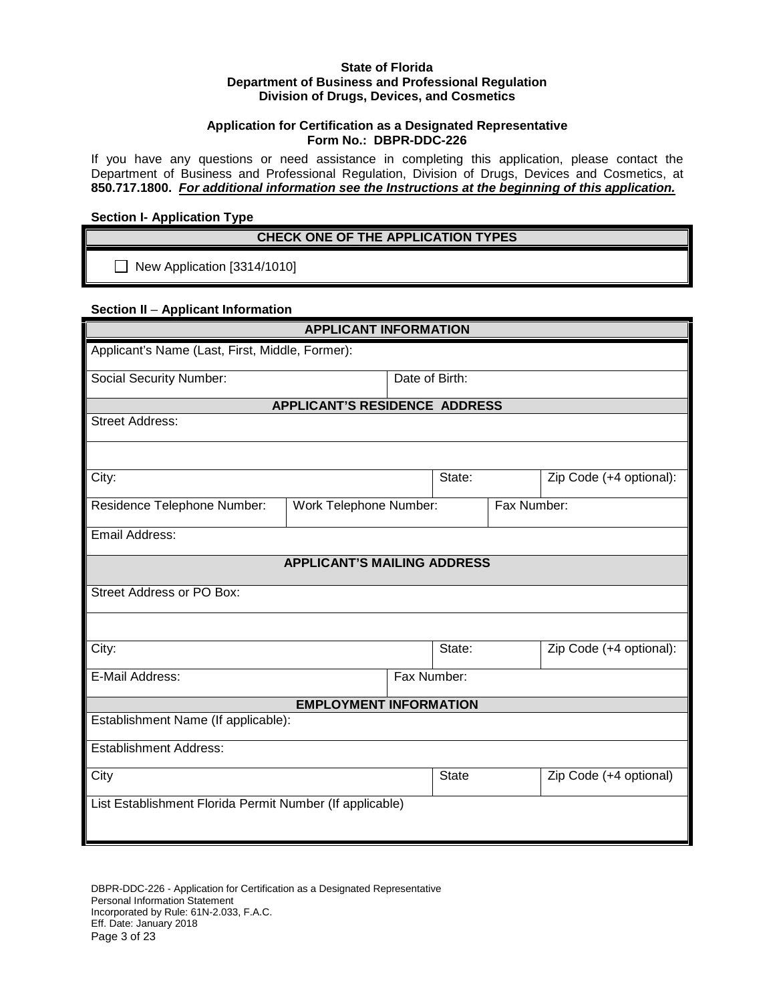### **State of Florida Department of Business and Professional Regulation Division of Drugs, Devices, and Cosmetics**

### **Application for Certification as a Designated Representative Form No.: DBPR-DDC-226**

If you have any questions or need assistance in completing this application, please contact the Department of Business and Professional Regulation, Division of Drugs, Devices and Cosmetics, at **850.717.1800.** *For additional information see the Instructions at the beginning of this application.*

## **Section I- Application Type**

## **CHECK ONE OF THE APPLICATION TYPES**

 $\Box$  New Application [3314/1010]

## **Section II** – **Applicant Information**

| <b>APPLICANT INFORMATION</b>                             |                                      |                |             |                         |  |
|----------------------------------------------------------|--------------------------------------|----------------|-------------|-------------------------|--|
| Applicant's Name (Last, First, Middle, Former):          |                                      |                |             |                         |  |
| <b>Social Security Number:</b>                           |                                      | Date of Birth: |             |                         |  |
|                                                          | <b>APPLICANT'S RESIDENCE ADDRESS</b> |                |             |                         |  |
| <b>Street Address:</b>                                   |                                      |                |             |                         |  |
|                                                          |                                      |                |             |                         |  |
| City:                                                    |                                      | State:         |             | Zip Code (+4 optional): |  |
| Residence Telephone Number:                              | Work Telephone Number:               |                | Fax Number: |                         |  |
| Email Address:                                           |                                      |                |             |                         |  |
|                                                          | <b>APPLICANT'S MAILING ADDRESS</b>   |                |             |                         |  |
| Street Address or PO Box:                                |                                      |                |             |                         |  |
|                                                          |                                      |                |             |                         |  |
| City:                                                    |                                      | State:         |             | Zip Code (+4 optional): |  |
| E-Mail Address:<br>Fax Number:                           |                                      |                |             |                         |  |
|                                                          | <b>EMPLOYMENT INFORMATION</b>        |                |             |                         |  |
| Establishment Name (If applicable):                      |                                      |                |             |                         |  |
| <b>Establishment Address:</b>                            |                                      |                |             |                         |  |
| City                                                     |                                      | <b>State</b>   |             | Zip Code (+4 optional)  |  |
| List Establishment Florida Permit Number (If applicable) |                                      |                |             |                         |  |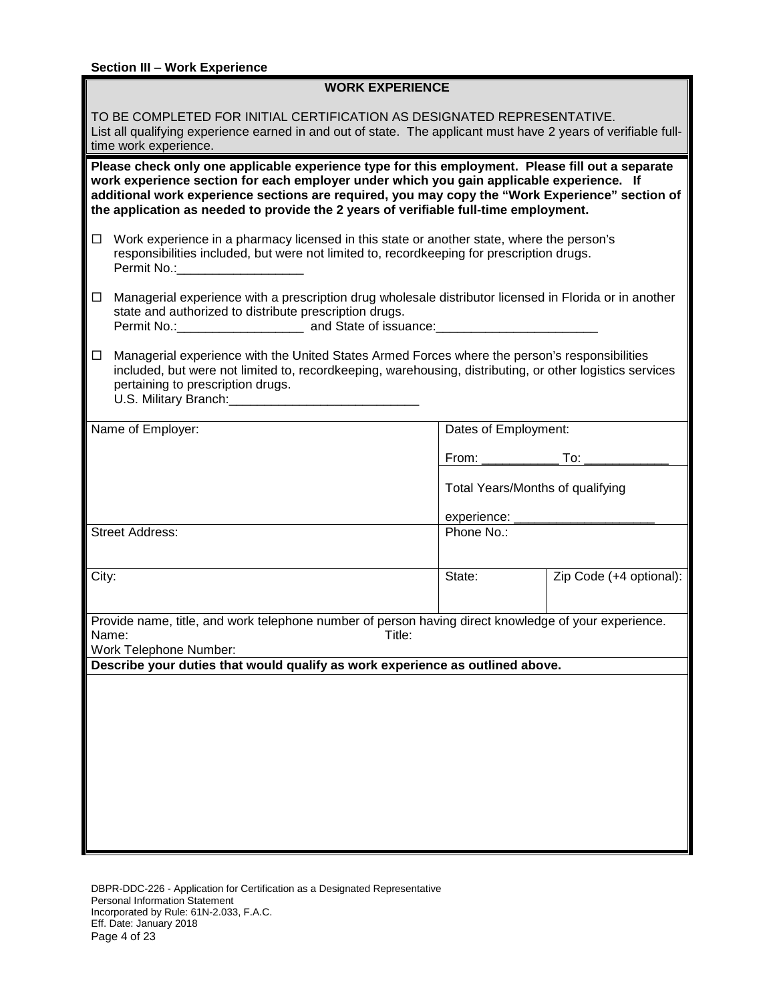| TO BE COMPLETED FOR INITIAL CERTIFICATION AS DESIGNATED REPRESENTATIVE.<br>List all qualifying experience earned in and out of state. The applicant must have 2 years of verifiable full-<br>time work experience.                                                                                                                                                                      |                      |                                  |  |
|-----------------------------------------------------------------------------------------------------------------------------------------------------------------------------------------------------------------------------------------------------------------------------------------------------------------------------------------------------------------------------------------|----------------------|----------------------------------|--|
| Please check only one applicable experience type for this employment. Please fill out a separate<br>work experience section for each employer under which you gain applicable experience. If<br>additional work experience sections are required, you may copy the "Work Experience" section of<br>the application as needed to provide the 2 years of verifiable full-time employment. |                      |                                  |  |
| Work experience in a pharmacy licensed in this state or another state, where the person's<br>□<br>responsibilities included, but were not limited to, recordkeeping for prescription drugs.<br>Permit No.:                                                                                                                                                                              |                      |                                  |  |
| Managerial experience with a prescription drug wholesale distributor licensed in Florida or in another<br>$\Box$<br>state and authorized to distribute prescription drugs.<br>Permit No.: and State of issuance: example and State of issuance:                                                                                                                                         |                      |                                  |  |
| Managerial experience with the United States Armed Forces where the person's responsibilities<br>$\Box$<br>included, but were not limited to, recordkeeping, warehousing, distributing, or other logistics services<br>pertaining to prescription drugs.                                                                                                                                |                      |                                  |  |
| Name of Employer:                                                                                                                                                                                                                                                                                                                                                                       | Dates of Employment: |                                  |  |
|                                                                                                                                                                                                                                                                                                                                                                                         | From:                | To:                              |  |
|                                                                                                                                                                                                                                                                                                                                                                                         | experience:          | Total Years/Months of qualifying |  |
| <b>Street Address:</b>                                                                                                                                                                                                                                                                                                                                                                  | Phone No.:           |                                  |  |
| City:                                                                                                                                                                                                                                                                                                                                                                                   | State:               | Zip Code (+4 optional):          |  |
| Provide name, title, and work telephone number of person having direct knowledge of your experience.<br>Name:<br>Title:<br>Work Telephone Number:                                                                                                                                                                                                                                       |                      |                                  |  |
| Describe your duties that would qualify as work experience as outlined above.                                                                                                                                                                                                                                                                                                           |                      |                                  |  |
|                                                                                                                                                                                                                                                                                                                                                                                         |                      |                                  |  |
|                                                                                                                                                                                                                                                                                                                                                                                         |                      |                                  |  |
|                                                                                                                                                                                                                                                                                                                                                                                         |                      |                                  |  |
|                                                                                                                                                                                                                                                                                                                                                                                         |                      |                                  |  |
|                                                                                                                                                                                                                                                                                                                                                                                         |                      |                                  |  |
|                                                                                                                                                                                                                                                                                                                                                                                         |                      |                                  |  |
|                                                                                                                                                                                                                                                                                                                                                                                         |                      |                                  |  |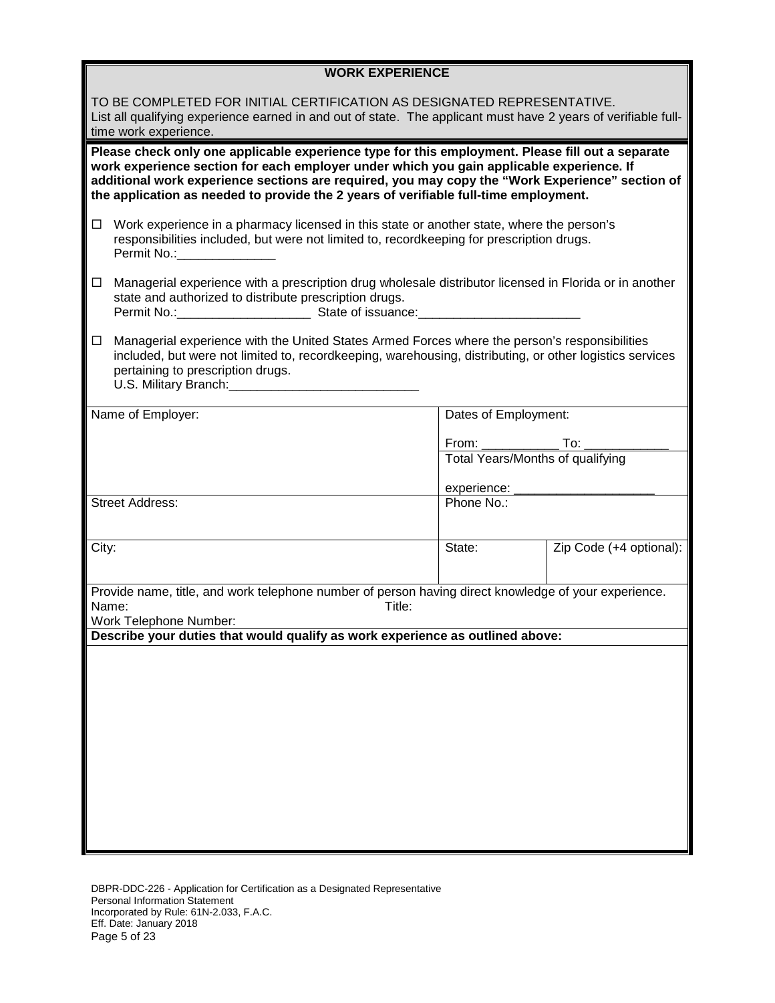# **WORK EXPERIENCE**

| TO BE COMPLETED FOR INITIAL CERTIFICATION AS DESIGNATED REPRESENTATIVE.<br>List all qualifying experience earned in and out of state. The applicant must have 2 years of verifiable full-<br>time work experience.                                                                                                                                                                      |                                                                                                                                                                                                                                                                                               |                                       |                         |  |
|-----------------------------------------------------------------------------------------------------------------------------------------------------------------------------------------------------------------------------------------------------------------------------------------------------------------------------------------------------------------------------------------|-----------------------------------------------------------------------------------------------------------------------------------------------------------------------------------------------------------------------------------------------------------------------------------------------|---------------------------------------|-------------------------|--|
| Please check only one applicable experience type for this employment. Please fill out a separate<br>work experience section for each employer under which you gain applicable experience. If<br>additional work experience sections are required, you may copy the "Work Experience" section of<br>the application as needed to provide the 2 years of verifiable full-time employment. |                                                                                                                                                                                                                                                                                               |                                       |                         |  |
| □                                                                                                                                                                                                                                                                                                                                                                                       | Work experience in a pharmacy licensed in this state or another state, where the person's<br>responsibilities included, but were not limited to, recordkeeping for prescription drugs.<br>Permit No.: Permit No.:                                                                             |                                       |                         |  |
| $\Box$                                                                                                                                                                                                                                                                                                                                                                                  | Managerial experience with a prescription drug wholesale distributor licensed in Florida or in another<br>state and authorized to distribute prescription drugs.                                                                                                                              |                                       |                         |  |
| ப                                                                                                                                                                                                                                                                                                                                                                                       | Managerial experience with the United States Armed Forces where the person's responsibilities<br>included, but were not limited to, recordkeeping, warehousing, distributing, or other logistics services<br>pertaining to prescription drugs.<br>U.S. Military Branch: U.S. Military Branch: |                                       |                         |  |
|                                                                                                                                                                                                                                                                                                                                                                                         | Name of Employer:                                                                                                                                                                                                                                                                             | Dates of Employment:                  |                         |  |
|                                                                                                                                                                                                                                                                                                                                                                                         |                                                                                                                                                                                                                                                                                               | $From: ____________ To: ____________$ |                         |  |
|                                                                                                                                                                                                                                                                                                                                                                                         |                                                                                                                                                                                                                                                                                               | Total Years/Months of qualifying      |                         |  |
|                                                                                                                                                                                                                                                                                                                                                                                         |                                                                                                                                                                                                                                                                                               | experience:                           |                         |  |
|                                                                                                                                                                                                                                                                                                                                                                                         | <b>Street Address:</b>                                                                                                                                                                                                                                                                        | Phone No.:                            |                         |  |
| City:                                                                                                                                                                                                                                                                                                                                                                                   |                                                                                                                                                                                                                                                                                               | State:                                | Zip Code (+4 optional): |  |
|                                                                                                                                                                                                                                                                                                                                                                                         | Provide name, title, and work telephone number of person having direct knowledge of your experience.                                                                                                                                                                                          |                                       |                         |  |
| Name:                                                                                                                                                                                                                                                                                                                                                                                   | Title:<br>Work Telephone Number:                                                                                                                                                                                                                                                              |                                       |                         |  |
|                                                                                                                                                                                                                                                                                                                                                                                         | Describe your duties that would qualify as work experience as outlined above:                                                                                                                                                                                                                 |                                       |                         |  |
|                                                                                                                                                                                                                                                                                                                                                                                         |                                                                                                                                                                                                                                                                                               |                                       |                         |  |
|                                                                                                                                                                                                                                                                                                                                                                                         |                                                                                                                                                                                                                                                                                               |                                       |                         |  |
|                                                                                                                                                                                                                                                                                                                                                                                         |                                                                                                                                                                                                                                                                                               |                                       |                         |  |
|                                                                                                                                                                                                                                                                                                                                                                                         |                                                                                                                                                                                                                                                                                               |                                       |                         |  |
|                                                                                                                                                                                                                                                                                                                                                                                         |                                                                                                                                                                                                                                                                                               |                                       |                         |  |
|                                                                                                                                                                                                                                                                                                                                                                                         |                                                                                                                                                                                                                                                                                               |                                       |                         |  |
|                                                                                                                                                                                                                                                                                                                                                                                         |                                                                                                                                                                                                                                                                                               |                                       |                         |  |
|                                                                                                                                                                                                                                                                                                                                                                                         |                                                                                                                                                                                                                                                                                               |                                       |                         |  |
|                                                                                                                                                                                                                                                                                                                                                                                         |                                                                                                                                                                                                                                                                                               |                                       |                         |  |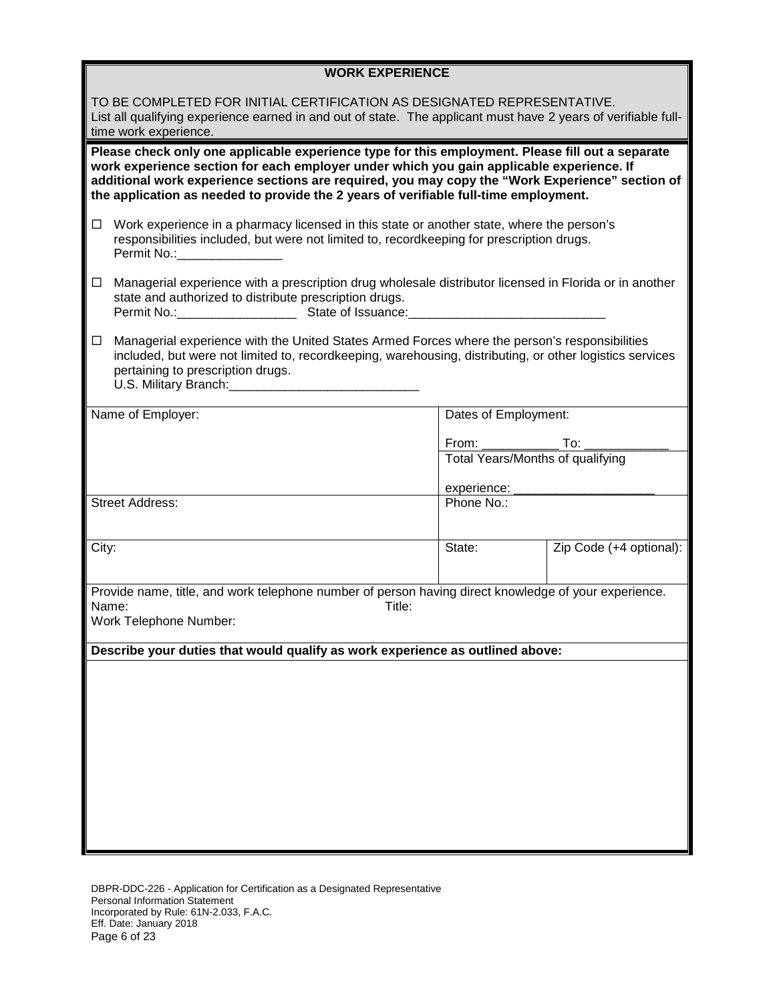# **WORK EXPERIENCE**

| TO BE COMPLETED FOR INITIAL CERTIFICATION AS DESIGNATED REPRESENTATIVE.<br>List all qualifying experience earned in and out of state. The applicant must have 2 years of verifiable full-<br>time work experience. |                                                                                                                                                                                                                                                                                                                                                                                         |                                  |                         |  |
|--------------------------------------------------------------------------------------------------------------------------------------------------------------------------------------------------------------------|-----------------------------------------------------------------------------------------------------------------------------------------------------------------------------------------------------------------------------------------------------------------------------------------------------------------------------------------------------------------------------------------|----------------------------------|-------------------------|--|
|                                                                                                                                                                                                                    | Please check only one applicable experience type for this employment. Please fill out a separate<br>work experience section for each employer under which you gain applicable experience. If<br>additional work experience sections are required, you may copy the "Work Experience" section of<br>the application as needed to provide the 2 years of verifiable full-time employment. |                                  |                         |  |
| □                                                                                                                                                                                                                  | Work experience in a pharmacy licensed in this state or another state, where the person's<br>responsibilities included, but were not limited to, recordkeeping for prescription drugs.<br>Permit No.: 1999                                                                                                                                                                              |                                  |                         |  |
| $\Box$                                                                                                                                                                                                             | Managerial experience with a prescription drug wholesale distributor licensed in Florida or in another<br>state and authorized to distribute prescription drugs.                                                                                                                                                                                                                        |                                  |                         |  |
| Ц                                                                                                                                                                                                                  | Managerial experience with the United States Armed Forces where the person's responsibilities<br>included, but were not limited to, recordkeeping, warehousing, distributing, or other logistics services<br>pertaining to prescription drugs.<br>U.S. Military Branch: U.S. Military Branch:                                                                                           |                                  |                         |  |
|                                                                                                                                                                                                                    | Name of Employer:                                                                                                                                                                                                                                                                                                                                                                       | Dates of Employment:             |                         |  |
|                                                                                                                                                                                                                    |                                                                                                                                                                                                                                                                                                                                                                                         | From: _________________ To: _    |                         |  |
|                                                                                                                                                                                                                    |                                                                                                                                                                                                                                                                                                                                                                                         | Total Years/Months of qualifying |                         |  |
|                                                                                                                                                                                                                    |                                                                                                                                                                                                                                                                                                                                                                                         | experience:                      |                         |  |
|                                                                                                                                                                                                                    | <b>Street Address:</b>                                                                                                                                                                                                                                                                                                                                                                  | Phone No.:                       |                         |  |
| City:                                                                                                                                                                                                              |                                                                                                                                                                                                                                                                                                                                                                                         | State:                           | Zip Code (+4 optional): |  |
|                                                                                                                                                                                                                    | Provide name, title, and work telephone number of person having direct knowledge of your experience.                                                                                                                                                                                                                                                                                    |                                  |                         |  |
|                                                                                                                                                                                                                    | Title:<br>Name:<br>Work Telephone Number:                                                                                                                                                                                                                                                                                                                                               |                                  |                         |  |
|                                                                                                                                                                                                                    | Describe your duties that would qualify as work experience as outlined above:                                                                                                                                                                                                                                                                                                           |                                  |                         |  |
|                                                                                                                                                                                                                    |                                                                                                                                                                                                                                                                                                                                                                                         |                                  |                         |  |
|                                                                                                                                                                                                                    |                                                                                                                                                                                                                                                                                                                                                                                         |                                  |                         |  |
|                                                                                                                                                                                                                    |                                                                                                                                                                                                                                                                                                                                                                                         |                                  |                         |  |
|                                                                                                                                                                                                                    |                                                                                                                                                                                                                                                                                                                                                                                         |                                  |                         |  |
|                                                                                                                                                                                                                    |                                                                                                                                                                                                                                                                                                                                                                                         |                                  |                         |  |
|                                                                                                                                                                                                                    |                                                                                                                                                                                                                                                                                                                                                                                         |                                  |                         |  |
|                                                                                                                                                                                                                    |                                                                                                                                                                                                                                                                                                                                                                                         |                                  |                         |  |
|                                                                                                                                                                                                                    |                                                                                                                                                                                                                                                                                                                                                                                         |                                  |                         |  |
|                                                                                                                                                                                                                    |                                                                                                                                                                                                                                                                                                                                                                                         |                                  |                         |  |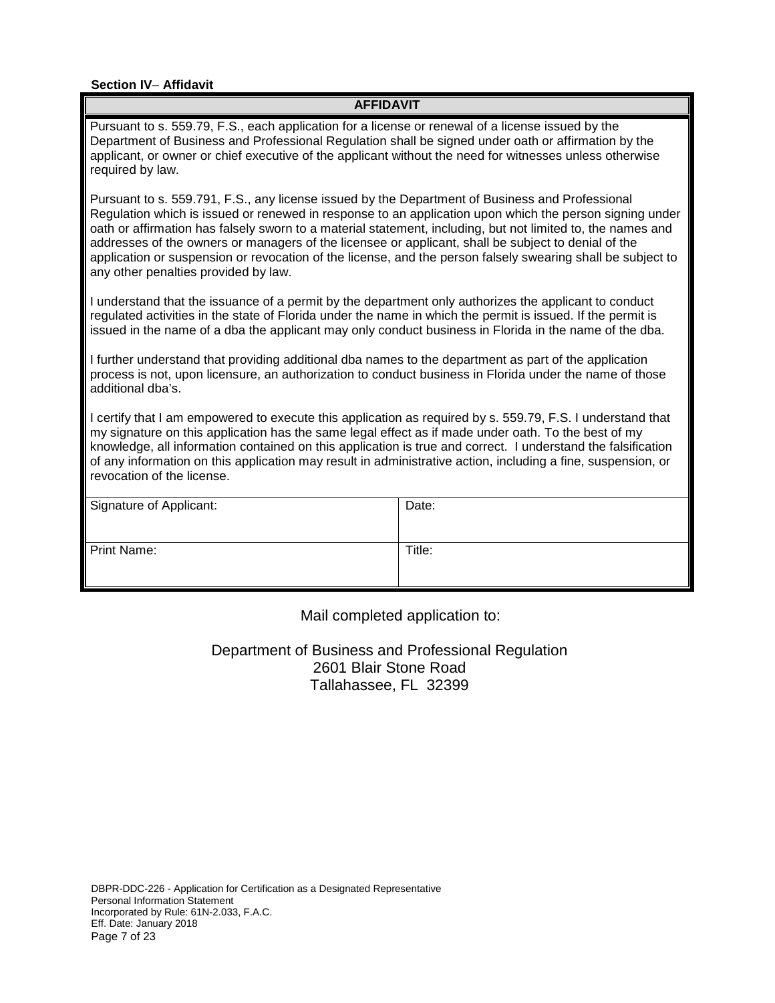## **Section IV**– **Affidavit**

## **AFFIDAVIT**

Pursuant to s. 559.79, F.S., each application for a license or renewal of a license issued by the Department of Business and Professional Regulation shall be signed under oath or affirmation by the applicant, or owner or chief executive of the applicant without the need for witnesses unless otherwise required by law.

Pursuant to s. 559.791, F.S., any license issued by the Department of Business and Professional Regulation which is issued or renewed in response to an application upon which the person signing under oath or affirmation has falsely sworn to a material statement, including, but not limited to, the names and addresses of the owners or managers of the licensee or applicant, shall be subject to denial of the application or suspension or revocation of the license, and the person falsely swearing shall be subject to any other penalties provided by law.

I understand that the issuance of a permit by the department only authorizes the applicant to conduct regulated activities in the state of Florida under the name in which the permit is issued. If the permit is issued in the name of a dba the applicant may only conduct business in Florida in the name of the dba.

I further understand that providing additional dba names to the department as part of the application process is not, upon licensure, an authorization to conduct business in Florida under the name of those additional dba's.

I certify that I am empowered to execute this application as required by s. 559.79, F.S. I understand that my signature on this application has the same legal effect as if made under oath. To the best of my knowledge, all information contained on this application is true and correct. I understand the falsification of any information on this application may result in administrative action, including a fine, suspension, or revocation of the license.

| Signature of Applicant: | Date:  |
|-------------------------|--------|
| Print Name:             | Title: |

Mail completed application to:

Department of Business and Professional Regulation 2601 Blair Stone Road Tallahassee, FL 32399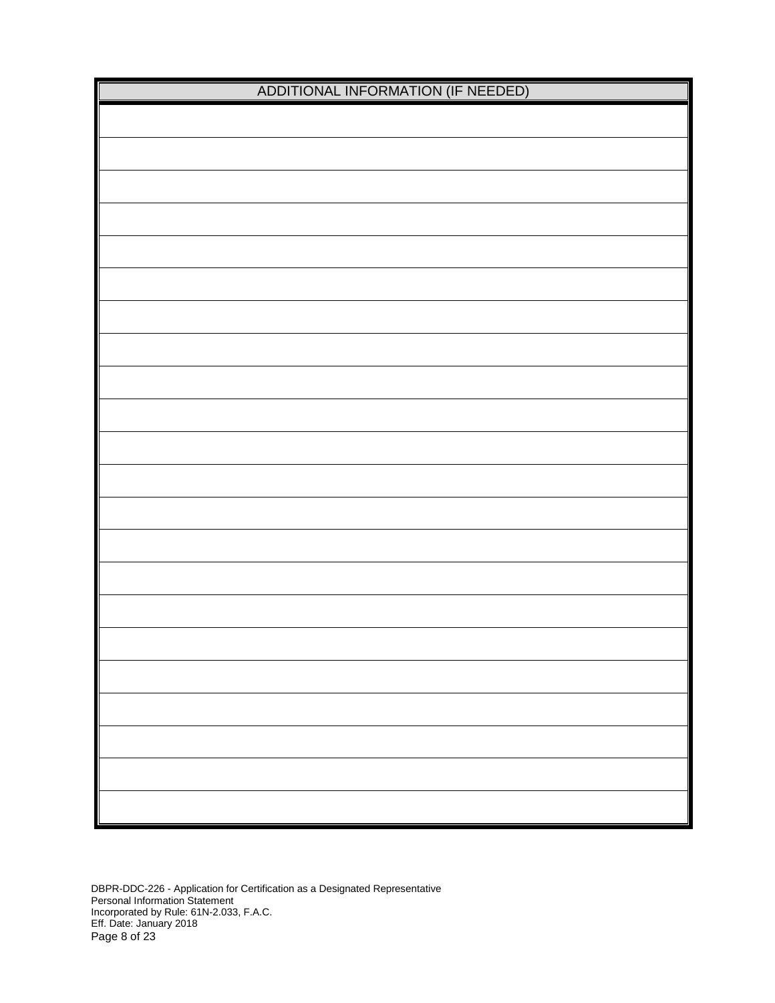| ADDITIONAL INFORMATION (IF NEEDED) |
|------------------------------------|
|                                    |
|                                    |
|                                    |
|                                    |
|                                    |
|                                    |
|                                    |
|                                    |
|                                    |
|                                    |
|                                    |
|                                    |
|                                    |
|                                    |
|                                    |
|                                    |
|                                    |
|                                    |
|                                    |
|                                    |
|                                    |
|                                    |

DBPR-DDC-226 - Application for Certification as a Designated Representative Personal Information Statement Incorporated by Rule: 61N-2.033, F.A.C. Eff. Date: January 2018 Page 8 of 23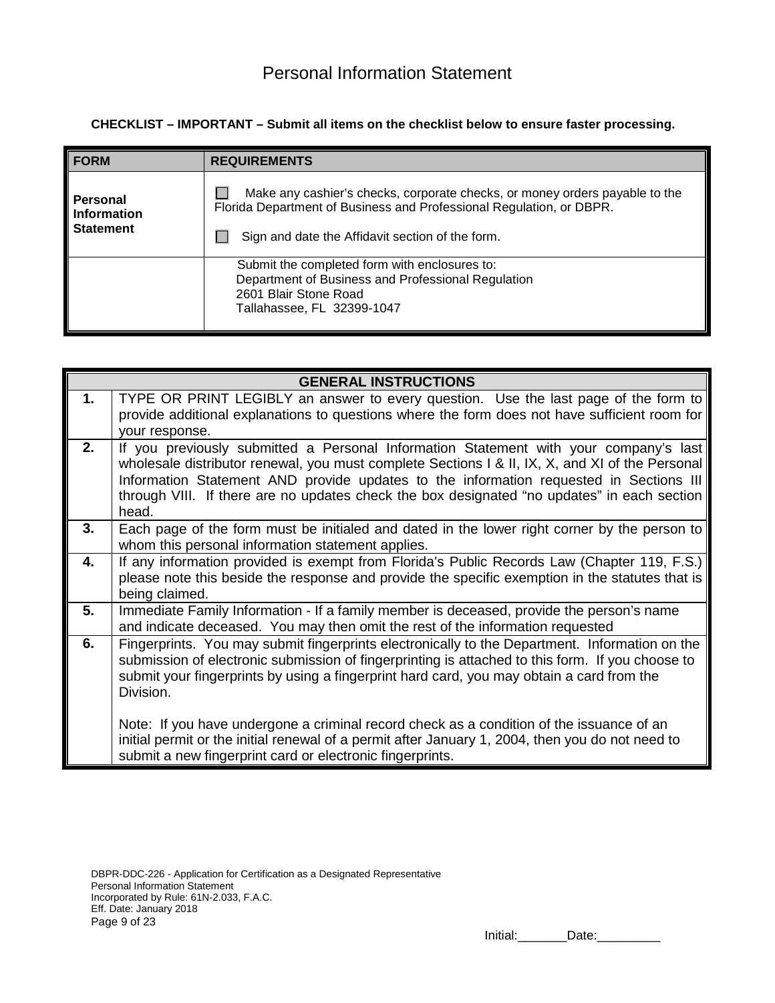## **CHECKLIST – IMPORTANT – Submit all items on the checklist below to ensure faster processing.**

| <b>FORM</b>                                               | <b>REQUIREMENTS</b>                                                                                                                                                                                     |
|-----------------------------------------------------------|---------------------------------------------------------------------------------------------------------------------------------------------------------------------------------------------------------|
| <b>Personal</b><br><b>Information</b><br><b>Statement</b> | Make any cashier's checks, corporate checks, or money orders payable to the<br>Florida Department of Business and Professional Regulation, or DBPR.<br>Sign and date the Affidavit section of the form. |
|                                                           | Submit the completed form with enclosures to:<br>Department of Business and Professional Regulation<br>2601 Blair Stone Road<br>Tallahassee, FL 32399-1047                                              |

|    | <b>GENERAL INSTRUCTIONS</b>                                                                                                                                                                                                                                                                                                                                                                |
|----|--------------------------------------------------------------------------------------------------------------------------------------------------------------------------------------------------------------------------------------------------------------------------------------------------------------------------------------------------------------------------------------------|
| 1. | TYPE OR PRINT LEGIBLY an answer to every question. Use the last page of the form to<br>provide additional explanations to questions where the form does not have sufficient room for<br>your response.                                                                                                                                                                                     |
| 2. | If you previously submitted a Personal Information Statement with your company's last<br>wholesale distributor renewal, you must complete Sections I & II, IX, X, and XI of the Personal<br>Information Statement AND provide updates to the information requested in Sections III<br>through VIII. If there are no updates check the box designated "no updates" in each section<br>head. |
| 3. | Each page of the form must be initialed and dated in the lower right corner by the person to<br>whom this personal information statement applies.                                                                                                                                                                                                                                          |
| 4. | If any information provided is exempt from Florida's Public Records Law (Chapter 119, F.S.)<br>please note this beside the response and provide the specific exemption in the statutes that is<br>being claimed.                                                                                                                                                                           |
| 5. | Immediate Family Information - If a family member is deceased, provide the person's name<br>and indicate deceased. You may then omit the rest of the information requested                                                                                                                                                                                                                 |
| 6. | Fingerprints. You may submit fingerprints electronically to the Department. Information on the<br>submission of electronic submission of fingerprinting is attached to this form. If you choose to<br>submit your fingerprints by using a fingerprint hard card, you may obtain a card from the<br>Division.                                                                               |
|    | Note: If you have undergone a criminal record check as a condition of the issuance of an<br>initial permit or the initial renewal of a permit after January 1, 2004, then you do not need to<br>submit a new fingerprint card or electronic fingerprints.                                                                                                                                  |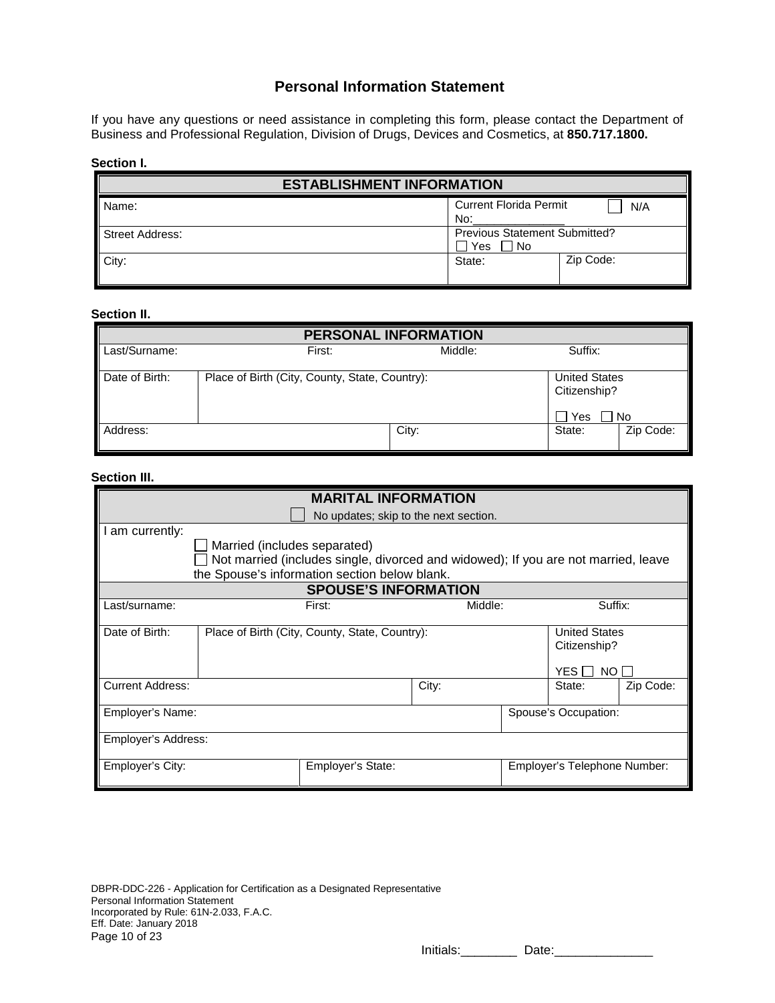# **Personal Information Statement**

If you have any questions or need assistance in completing this form, please contact the Department of Business and Professional Regulation, Division of Drugs, Devices and Cosmetics, at **850.717.1800.**

 $\overline{a}$ 

### **Section I.**

| <b>ESTABLISHMENT INFORMATION</b> |                                                                |  |  |
|----------------------------------|----------------------------------------------------------------|--|--|
| I Name:                          | <b>Current Florida Permit</b><br>N/A<br>No:                    |  |  |
| Street Address:                  | <b>Previous Statement Submitted?</b><br><sup>I</sup> No<br>Yes |  |  |
| City:                            | Zip Code:<br>State:                                            |  |  |

## **Section II.**

| <b>PERSONAL INFORMATION</b> |                                                |         |                                      |         |           |
|-----------------------------|------------------------------------------------|---------|--------------------------------------|---------|-----------|
| Last/Surname:               | First:                                         | Middle: |                                      | Suffix: |           |
| Date of Birth:              | Place of Birth (City, County, State, Country): |         | <b>United States</b><br>Citizenship? |         |           |
|                             |                                                |         |                                      | l Yes   | No        |
| Address:                    |                                                | City:   |                                      | State:  | Zip Code: |

### **Section III.**

|                                          | <b>MARITAL INFORMATION</b>                                                         |       |         |                              |           |
|------------------------------------------|------------------------------------------------------------------------------------|-------|---------|------------------------------|-----------|
|                                          | No updates; skip to the next section.                                              |       |         |                              |           |
| am currently:                            |                                                                                    |       |         |                              |           |
|                                          | Married (includes separated)                                                       |       |         |                              |           |
|                                          | Not married (includes single, divorced and widowed); If you are not married, leave |       |         |                              |           |
|                                          | the Spouse's information section below blank.                                      |       |         |                              |           |
|                                          | <b>SPOUSE'S INFORMATION</b>                                                        |       |         |                              |           |
| Last/surname:                            | First:<br>Middle:                                                                  |       | Suffix: |                              |           |
| Date of Birth:                           | Place of Birth (City, County, State, Country):                                     |       |         | <b>United States</b>         |           |
|                                          |                                                                                    |       |         | Citizenship?                 |           |
|                                          |                                                                                    |       |         | YES I I<br>NO I              |           |
| <b>Current Address:</b>                  |                                                                                    | City: |         | State:                       | Zip Code: |
| Spouse's Occupation:<br>Employer's Name: |                                                                                    |       |         |                              |           |
| Employer's Address:                      |                                                                                    |       |         |                              |           |
| Employer's City:                         | Employer's State:                                                                  |       |         | Employer's Telephone Number: |           |

DBPR-DDC-226 - Application for Certification as a Designated Representative Personal Information Statement Incorporated by Rule: 61N-2.033, F.A.C. Eff. Date: January 2018 Page 10 of 23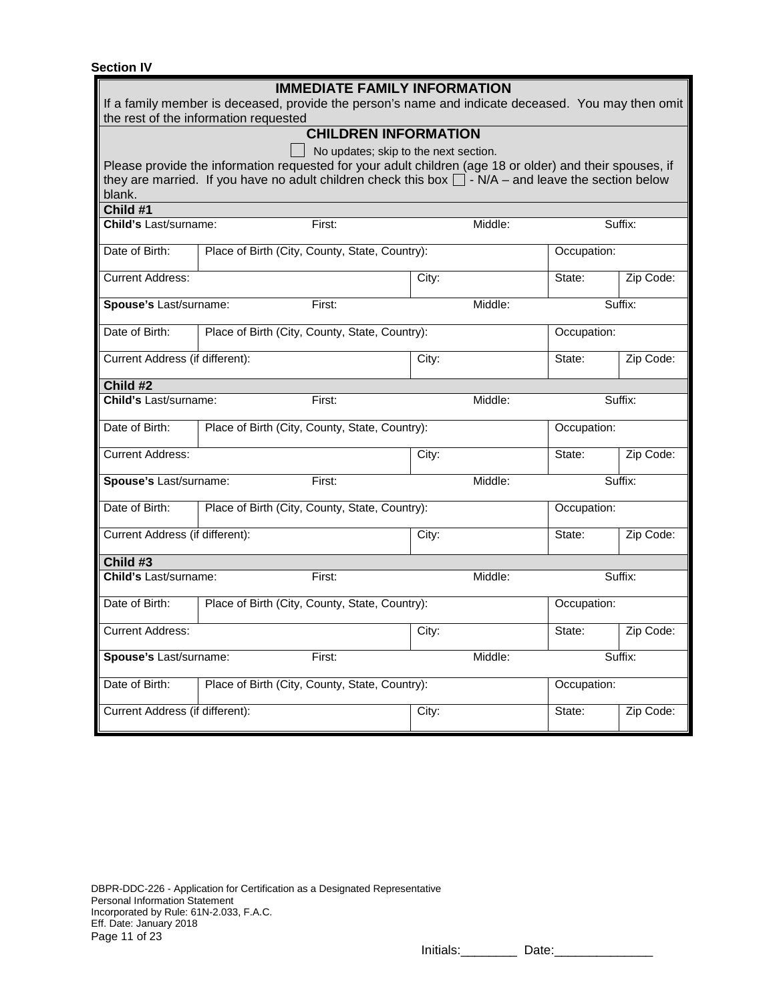| <b>Section IV</b>               |                                                                                                                                                                                    |         |             |           |  |
|---------------------------------|------------------------------------------------------------------------------------------------------------------------------------------------------------------------------------|---------|-------------|-----------|--|
|                                 | <b>IMMEDIATE FAMILY INFORMATION</b><br>If a family member is deceased, provide the person's name and indicate deceased. You may then omit<br>the rest of the information requested |         |             |           |  |
|                                 | <b>CHILDREN INFORMATION</b>                                                                                                                                                        |         |             |           |  |
|                                 | No updates; skip to the next section.                                                                                                                                              |         |             |           |  |
|                                 | Please provide the information requested for your adult children (age 18 or older) and their spouses, if                                                                           |         |             |           |  |
|                                 | they are married. If you have no adult children check this box $\Box$ - N/A – and leave the section below                                                                          |         |             |           |  |
| blank.                          |                                                                                                                                                                                    |         |             |           |  |
| Child #1                        |                                                                                                                                                                                    |         |             |           |  |
| Child's Last/surname:           | First:                                                                                                                                                                             | Middle: |             | Suffix:   |  |
| Date of Birth:                  | Place of Birth (City, County, State, Country):                                                                                                                                     |         | Occupation: |           |  |
| <b>Current Address:</b>         |                                                                                                                                                                                    | City:   | State:      | Zip Code: |  |
| Spouse's Last/surname:          | First:                                                                                                                                                                             | Middle: |             | Suffix:   |  |
| Date of Birth:                  | Place of Birth (City, County, State, Country):                                                                                                                                     |         | Occupation: |           |  |
| Current Address (if different): |                                                                                                                                                                                    | City:   | State:      | Zip Code: |  |
| Child #2                        |                                                                                                                                                                                    |         |             |           |  |
| Child's Last/surname:           | First:                                                                                                                                                                             | Middle: |             | Suffix:   |  |
| Date of Birth:                  | Place of Birth (City, County, State, Country):                                                                                                                                     |         | Occupation: |           |  |
| <b>Current Address:</b>         |                                                                                                                                                                                    | City:   | State:      | Zip Code: |  |
| Spouse's Last/surname:          | First:                                                                                                                                                                             | Middle: |             | Suffix:   |  |
| Date of Birth:                  | Place of Birth (City, County, State, Country):                                                                                                                                     |         | Occupation: |           |  |
| Current Address (if different): |                                                                                                                                                                                    | City:   | State:      | Zip Code: |  |
| Child #3                        |                                                                                                                                                                                    |         |             |           |  |
| Child's Last/surname:           | First:                                                                                                                                                                             | Middle: |             | Suffix:   |  |
| Date of Birth:                  | Place of Birth (City, County, State, Country):                                                                                                                                     |         | Occupation: |           |  |
| <b>Current Address:</b>         |                                                                                                                                                                                    | City:   | State:      | Zip Code: |  |
| Spouse's Last/surname:          | First:                                                                                                                                                                             | Middle: |             | Suffix:   |  |
| Date of Birth:                  | Place of Birth (City, County, State, Country):                                                                                                                                     |         | Occupation: |           |  |
| Current Address (if different): |                                                                                                                                                                                    | City:   | State:      | Zip Code: |  |

DBPR-DDC-226 - Application for Certification as a Designated Representative Personal Information Statement Incorporated by Rule: 61N-2.033, F.A.C. Eff. Date: January 2018 Page 11 of 23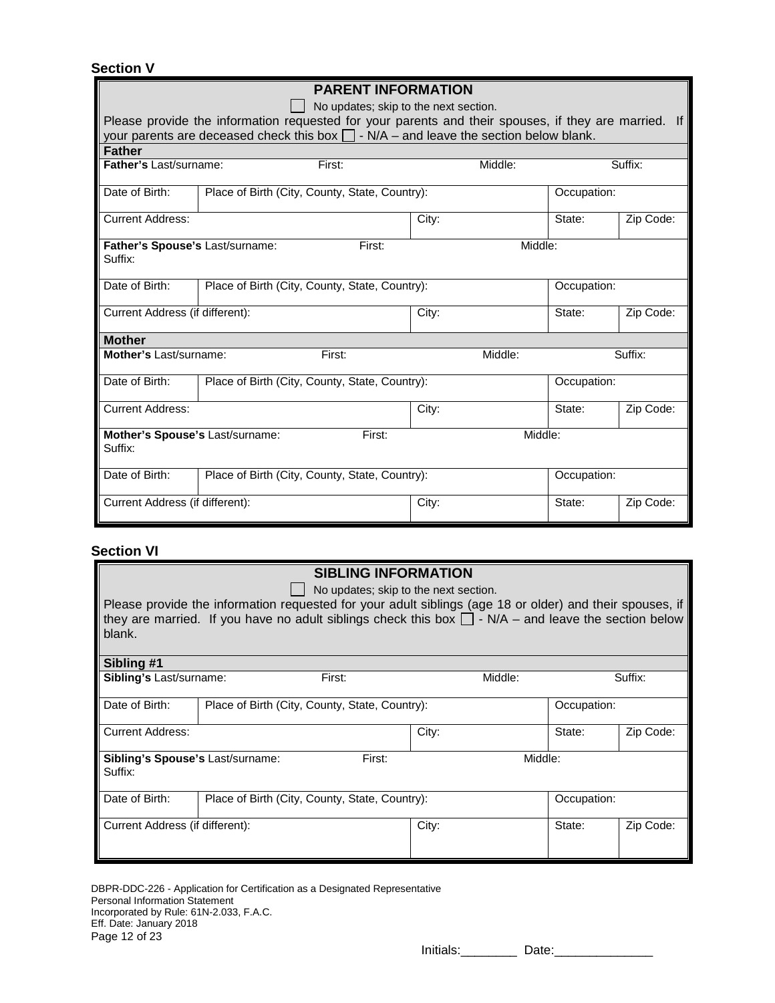## **Section V**

| <b>PARENT INFORMATION</b>                                       |                                                                                                      |         |             |           |
|-----------------------------------------------------------------|------------------------------------------------------------------------------------------------------|---------|-------------|-----------|
| No updates; skip to the next section.                           |                                                                                                      |         |             |           |
|                                                                 | Please provide the information requested for your parents and their spouses, if they are married. If |         |             |           |
|                                                                 | your parents are deceased check this box $\Box$ - N/A – and leave the section below blank.           |         |             |           |
| <b>Father</b>                                                   |                                                                                                      |         |             |           |
| Father's Last/surname:                                          | First:                                                                                               | Middle: |             | Suffix:   |
| Date of Birth:                                                  | Place of Birth (City, County, State, Country):                                                       |         | Occupation: |           |
| <b>Current Address:</b>                                         |                                                                                                      | City:   | State:      | Zip Code: |
| Father's Spouse's Last/surname:<br>Suffix:                      | First:                                                                                               | Middle: |             |           |
| Date of Birth:                                                  | Place of Birth (City, County, State, Country):                                                       |         | Occupation: |           |
| Current Address (if different):                                 |                                                                                                      | City:   | State:      | Zip Code: |
| <b>Mother</b>                                                   |                                                                                                      |         |             |           |
| Mother's Last/surname:                                          | First:                                                                                               | Middle: |             | Suffix:   |
| Date of Birth:                                                  | Place of Birth (City, County, State, Country):                                                       |         | Occupation: |           |
| <b>Current Address:</b>                                         |                                                                                                      | City:   | State:      | Zip Code: |
| Mother's Spouse's Last/surname:<br>First:<br>Middle:<br>Suffix: |                                                                                                      |         |             |           |
| Date of Birth:                                                  | Place of Birth (City, County, State, Country):                                                       |         | Occupation: |           |
| Current Address (if different):                                 |                                                                                                      | City:   | State:      | Zip Code: |

## **Section VI**

# **SIBLING INFORMATION**

No updates; skip to the next section.

Please provide the information requested for your adult siblings (age 18 or older) and their spouses, if they are married. If you have no adult siblings check this box  $\bigsqcup$  - N/A – and leave the section below blank.

| Sibling #1                                                       |                                                |         |             |           |
|------------------------------------------------------------------|------------------------------------------------|---------|-------------|-----------|
| <b>Sibling's Last/surname:</b><br>First:<br>Middle:              |                                                | Suffix: |             |           |
| Date of Birth:                                                   | Place of Birth (City, County, State, Country): |         | Occupation: |           |
| <b>Current Address:</b>                                          |                                                | City:   | State:      | Zip Code: |
| First:<br>Sibling's Spouse's Last/surname:<br>Middle:<br>Suffix: |                                                |         |             |           |
| Date of Birth:                                                   | Place of Birth (City, County, State, Country): |         | Occupation: |           |
| Current Address (if different):                                  |                                                | City:   | State:      | Zip Code: |

DBPR-DDC-226 - Application for Certification as a Designated Representative Personal Information Statement Incorporated by Rule: 61N-2.033, F.A.C. Eff. Date: January 2018 Page 12 of 23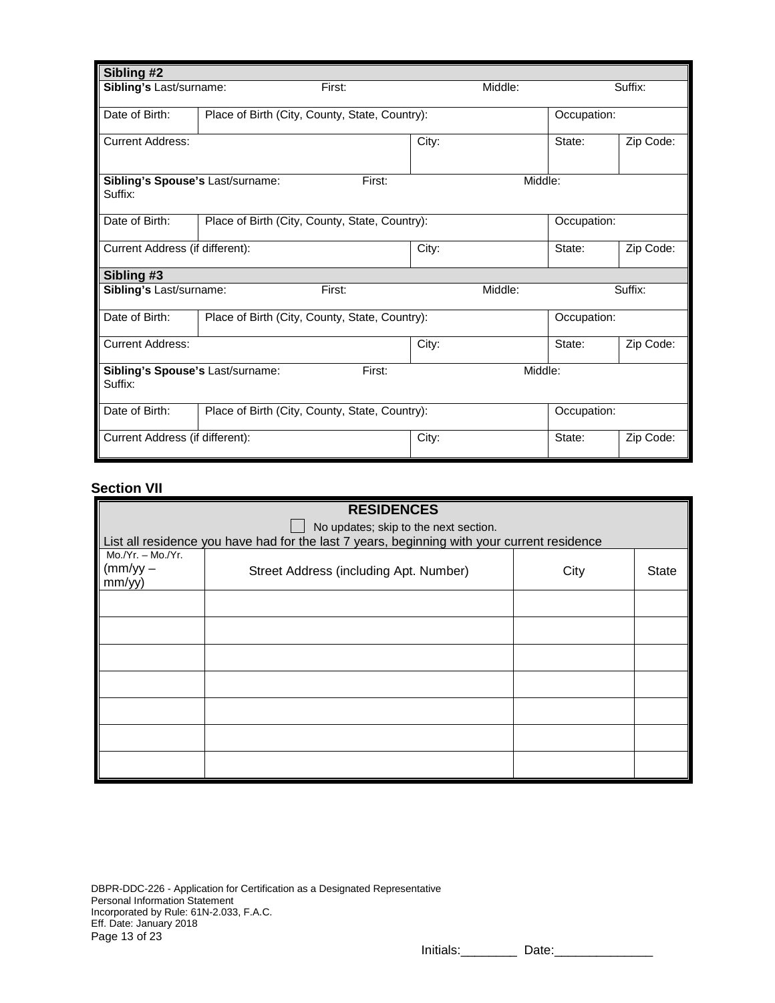| Sibling #2                                                       |                                                |         |             |           |
|------------------------------------------------------------------|------------------------------------------------|---------|-------------|-----------|
| Sibling's Last/surname:                                          | First:                                         | Middle: |             | Suffix:   |
| Date of Birth:                                                   | Place of Birth (City, County, State, Country): |         | Occupation: |           |
| <b>Current Address:</b>                                          |                                                | City:   | State:      | Zip Code: |
| Middle:<br>Sibling's Spouse's Last/surname:<br>First:<br>Suffix: |                                                |         |             |           |
| Date of Birth:                                                   | Place of Birth (City, County, State, Country): |         | Occupation: |           |
| Current Address (if different):                                  |                                                | City:   | State:      | Zip Code: |
| Sibling #3                                                       |                                                |         |             |           |
| Sibling's Last/surname:                                          | First:                                         | Middle: |             | Suffix:   |
| Date of Birth:                                                   | Place of Birth (City, County, State, Country): |         | Occupation: |           |
| <b>Current Address:</b>                                          |                                                | City:   | State:      | Zip Code: |
| Sibling's Spouse's Last/surname:<br>Suffix:                      | First:                                         | Middle: |             |           |
| Date of Birth:                                                   | Place of Birth (City, County, State, Country): |         | Occupation: |           |
| Current Address (if different):                                  |                                                | City:   | State:      | Zip Code: |

# **Section VII**

|                                        | <b>RESIDENCES</b>                                                                           |      |              |
|----------------------------------------|---------------------------------------------------------------------------------------------|------|--------------|
|                                        | No updates; skip to the next section.                                                       |      |              |
|                                        | List all residence you have had for the last 7 years, beginning with your current residence |      |              |
| $Mo.Yr. - Mo.Yr.$<br>$\frac{mm}{yy}$ – | Street Address (including Apt. Number)                                                      | City | <b>State</b> |
| mm/yy)                                 |                                                                                             |      |              |
|                                        |                                                                                             |      |              |
|                                        |                                                                                             |      |              |
|                                        |                                                                                             |      |              |
|                                        |                                                                                             |      |              |
|                                        |                                                                                             |      |              |
|                                        |                                                                                             |      |              |
|                                        |                                                                                             |      |              |

DBPR-DDC-226 - Application for Certification as a Designated Representative Personal Information Statement Incorporated by Rule: 61N-2.033, F.A.C. Eff. Date: January 2018 Page 13 of 23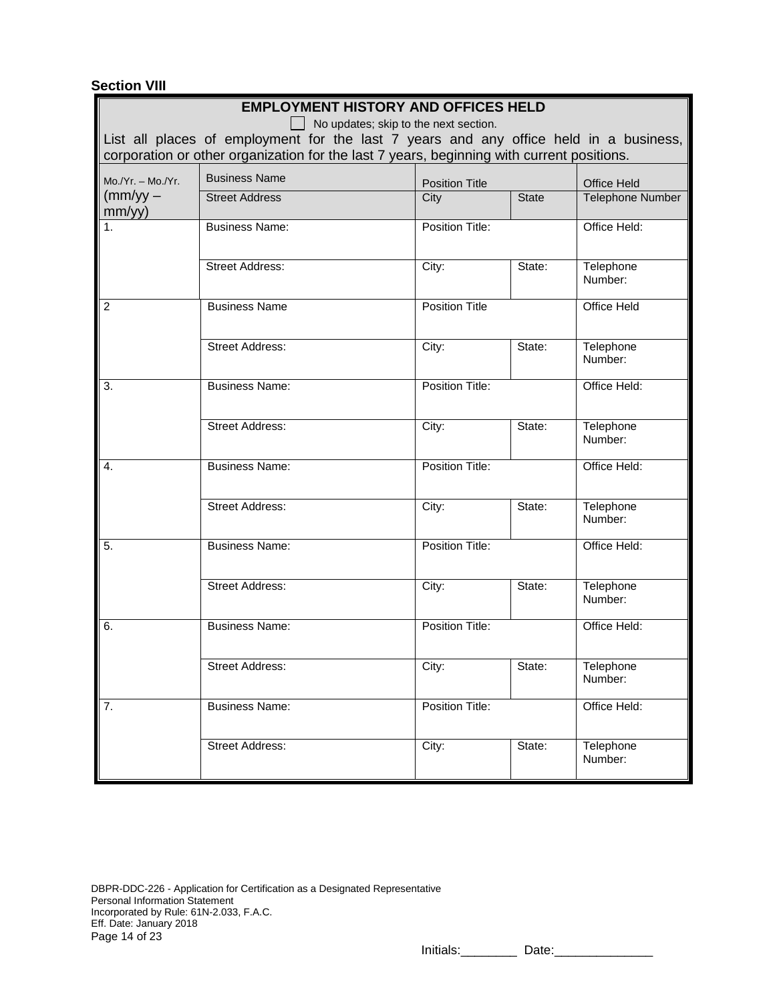# **Section VIII**

|                             | <b>EMPLOYMENT HISTORY AND OFFICES HELD</b>                                                |                                       |                    |                         |
|-----------------------------|-------------------------------------------------------------------------------------------|---------------------------------------|--------------------|-------------------------|
|                             | List all places of employment for the last 7 years and any office held in a business,     | No updates; skip to the next section. |                    |                         |
|                             | corporation or other organization for the last 7 years, beginning with current positions. |                                       |                    |                         |
| $Mo./Yr. - Mo./Yr.$         | <b>Business Name</b><br><b>Position Title</b>                                             |                                       | <b>Office Held</b> |                         |
| $\frac{mm}{yy}$ –<br>mm/yy) | <b>Street Address</b>                                                                     | City                                  | <b>State</b>       | <b>Telephone Number</b> |
|                             | <b>Business Name:</b>                                                                     | Position Title:                       |                    | Office Held:            |
|                             | <b>Street Address:</b>                                                                    | City:                                 | State:             | Telephone<br>Number:    |
| $\overline{2}$              | <b>Business Name</b>                                                                      | <b>Position Title</b>                 |                    | <b>Office Held</b>      |
|                             | <b>Street Address:</b>                                                                    | City:                                 | State:             | Telephone<br>Number:    |
| $\overline{3}$ .            | <b>Business Name:</b>                                                                     | Position Title:                       |                    | Office Held:            |
|                             | <b>Street Address:</b>                                                                    | City:                                 | State:             | Telephone<br>Number:    |
| 4.                          | <b>Business Name:</b>                                                                     | Position Title:                       |                    | Office Held:            |
|                             | <b>Street Address:</b>                                                                    | City:                                 | State:             | Telephone<br>Number:    |
| 5.                          | <b>Business Name:</b>                                                                     | Position Title:                       |                    | Office Held:            |
|                             | <b>Street Address:</b>                                                                    | City:                                 | State:             | Telephone<br>Number:    |
| 6.                          | <b>Business Name:</b>                                                                     | Position Title:                       |                    | Office Held:            |
|                             | <b>Street Address:</b>                                                                    | City:                                 | State:             | Telephone<br>Number:    |
| $\overline{7}$ .            | <b>Business Name:</b>                                                                     | Position Title:                       |                    | Office Held:            |
|                             | <b>Street Address:</b>                                                                    | City:                                 | State:             | Telephone<br>Number:    |

DBPR-DDC-226 - Application for Certification as a Designated Representative Personal Information Statement Incorporated by Rule: 61N-2.033, F.A.C. Eff. Date: January 2018 Page 14 of 23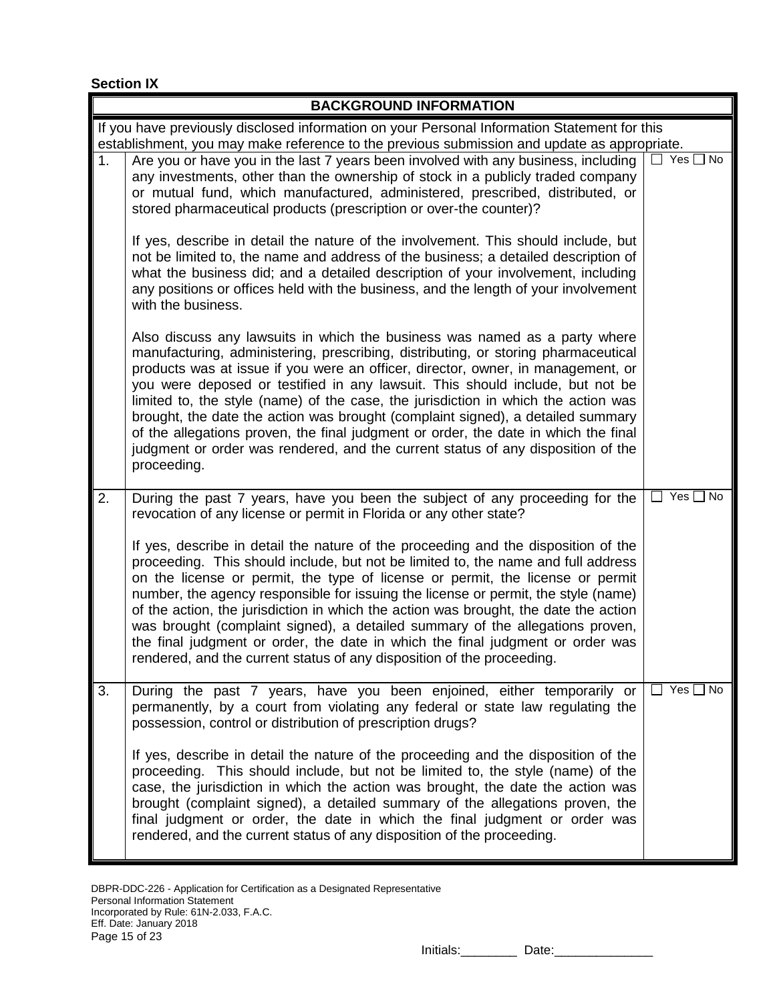**Section IX**

# **BACKGROUND INFORMATION** If you have previously disclosed information on your Personal Information Statement for this establishment, you may make reference to the previous submission and update as appropriate. 1. Are you or have you in the last 7 years been involved with any business, including any investments, other than the ownership of stock in a publicly traded company or mutual fund, which manufactured, administered, prescribed, distributed, or stored pharmaceutical products (prescription or over-the counter)? If yes, describe in detail the nature of the involvement. This should include, but not be limited to, the name and address of the business; a detailed description of what the business did; and a detailed description of your involvement, including any positions or offices held with the business, and the length of your involvement with the business. Also discuss any lawsuits in which the business was named as a party where manufacturing, administering, prescribing, distributing, or storing pharmaceutical products was at issue if you were an officer, director, owner, in management, or you were deposed or testified in any lawsuit. This should include, but not be limited to, the style (name) of the case, the jurisdiction in which the action was brought, the date the action was brought (complaint signed), a detailed summary of the allegations proven, the final judgment or order, the date in which the final judgment or order was rendered, and the current status of any disposition of the proceeding.  $\Box$  Yes  $\Box$  No 2. During the past 7 years, have you been the subject of any proceeding for the revocation of any license or permit in Florida or any other state? If yes, describe in detail the nature of the proceeding and the disposition of the proceeding. This should include, but not be limited to, the name and full address on the license or permit, the type of license or permit, the license or permit number, the agency responsible for issuing the license or permit, the style (name) of the action, the jurisdiction in which the action was brought, the date the action was brought (complaint signed), a detailed summary of the allegations proven, the final judgment or order, the date in which the final judgment or order was rendered, and the current status of any disposition of the proceeding.  $\Box$  Yes  $\Box$  No 3. During the past 7 years, have you been enjoined, either temporarily or permanently, by a court from violating any federal or state law regulating the possession, control or distribution of prescription drugs? If yes, describe in detail the nature of the proceeding and the disposition of the proceeding. This should include, but not be limited to, the style (name) of the case, the jurisdiction in which the action was brought, the date the action was brought (complaint signed), a detailed summary of the allegations proven, the final judgment or order, the date in which the final judgment or order was rendered, and the current status of any disposition of the proceeding.  $\Box$  Yes  $\Box$  No

DBPR-DDC-226 - Application for Certification as a Designated Representative Personal Information Statement Incorporated by Rule: 61N-2.033, F.A.C. Eff. Date: January 2018 Page 15 of 23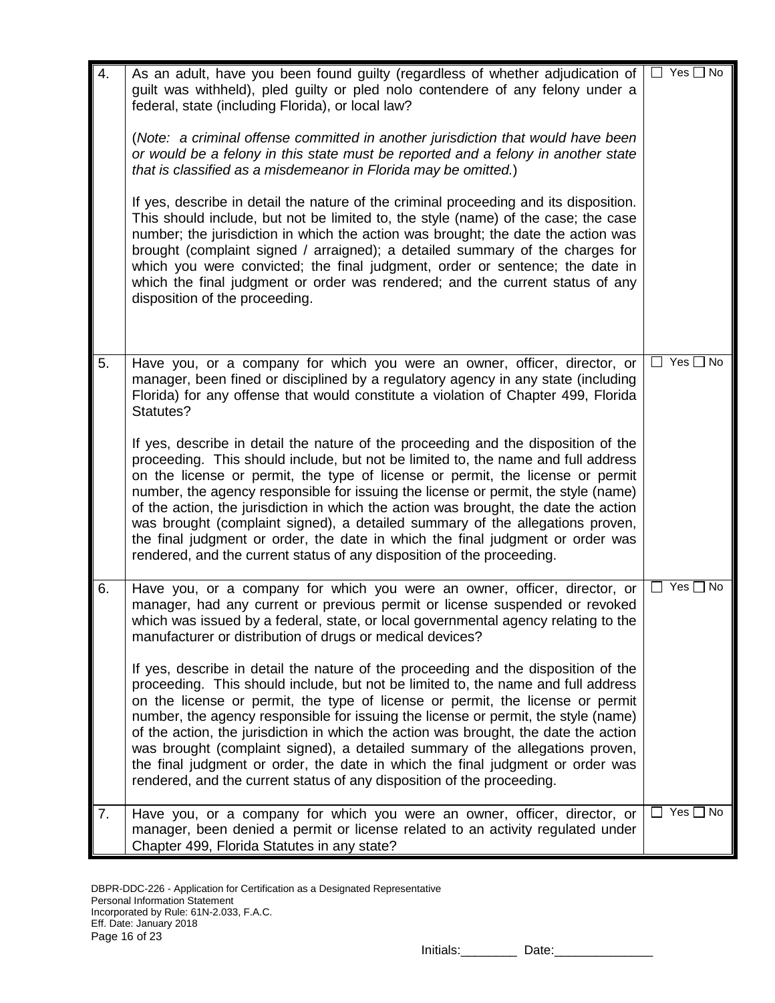| 4. | As an adult, have you been found guilty (regardless of whether adjudication of<br>guilt was withheld), pled guilty or pled nolo contendere of any felony under a<br>federal, state (including Florida), or local law?<br>(Note: a criminal offense committed in another jurisdiction that would have been<br>or would be a felony in this state must be reported and a felony in another state<br>that is classified as a misdemeanor in Florida may be omitted.)<br>If yes, describe in detail the nature of the criminal proceeding and its disposition.<br>This should include, but not be limited to, the style (name) of the case; the case<br>number; the jurisdiction in which the action was brought; the date the action was<br>brought (complaint signed / arraigned); a detailed summary of the charges for<br>which you were convicted; the final judgment, order or sentence; the date in<br>which the final judgment or order was rendered; and the current status of any<br>disposition of the proceeding. | $\Box$ Yes $\Box$ No |
|----|---------------------------------------------------------------------------------------------------------------------------------------------------------------------------------------------------------------------------------------------------------------------------------------------------------------------------------------------------------------------------------------------------------------------------------------------------------------------------------------------------------------------------------------------------------------------------------------------------------------------------------------------------------------------------------------------------------------------------------------------------------------------------------------------------------------------------------------------------------------------------------------------------------------------------------------------------------------------------------------------------------------------------|----------------------|
| 5. | Have you, or a company for which you were an owner, officer, director, or<br>manager, been fined or disciplined by a regulatory agency in any state (including<br>Florida) for any offense that would constitute a violation of Chapter 499, Florida<br>Statutes?<br>If yes, describe in detail the nature of the proceeding and the disposition of the<br>proceeding. This should include, but not be limited to, the name and full address<br>on the license or permit, the type of license or permit, the license or permit<br>number, the agency responsible for issuing the license or permit, the style (name)<br>of the action, the jurisdiction in which the action was brought, the date the action<br>was brought (complaint signed), a detailed summary of the allegations proven,<br>the final judgment or order, the date in which the final judgment or order was<br>rendered, and the current status of any disposition of the proceeding.                                                                 | Yes [<br>∃ No        |
| 6. | Have you, or a company for which you were an owner, officer, director, or<br>manager, had any current or previous permit or license suspended or revoked<br>which was issued by a federal, state, or local governmental agency relating to the<br>manufacturer or distribution of drugs or medical devices?<br>If yes, describe in detail the nature of the proceeding and the disposition of the<br>proceeding. This should include, but not be limited to, the name and full address<br>on the license or permit, the type of license or permit, the license or permit<br>number, the agency responsible for issuing the license or permit, the style (name)<br>of the action, the jurisdiction in which the action was brought, the date the action<br>was brought (complaint signed), a detailed summary of the allegations proven,<br>the final judgment or order, the date in which the final judgment or order was<br>rendered, and the current status of any disposition of the proceeding.                       | Yes $\Box$ No        |
| 7. | Have you, or a company for which you were an owner, officer, director, or<br>manager, been denied a permit or license related to an activity regulated under<br>Chapter 499, Florida Statutes in any state?                                                                                                                                                                                                                                                                                                                                                                                                                                                                                                                                                                                                                                                                                                                                                                                                               | Yes $\Box$ No        |

DBPR-DDC-226 - Application for Certification as a Designated Representative Personal Information Statement Incorporated by Rule: 61N-2.033, F.A.C. Eff. Date: January 2018 Page 16 of 23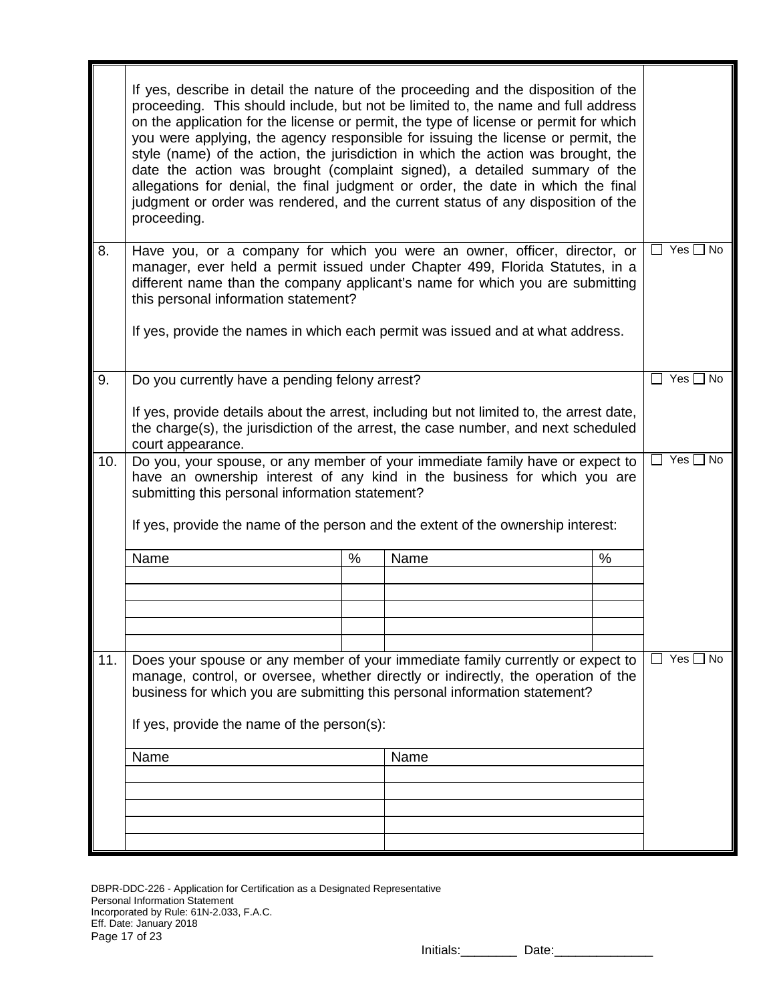|     | proceeding.                                                                                                                                                                                                                                                                                                                                                          |   | If yes, describe in detail the nature of the proceeding and the disposition of the<br>proceeding. This should include, but not be limited to, the name and full address<br>on the application for the license or permit, the type of license or permit for which<br>you were applying, the agency responsible for issuing the license or permit, the<br>style (name) of the action, the jurisdiction in which the action was brought, the<br>date the action was brought (complaint signed), a detailed summary of the<br>allegations for denial, the final judgment or order, the date in which the final<br>judgment or order was rendered, and the current status of any disposition of the |                  |                         |
|-----|----------------------------------------------------------------------------------------------------------------------------------------------------------------------------------------------------------------------------------------------------------------------------------------------------------------------------------------------------------------------|---|------------------------------------------------------------------------------------------------------------------------------------------------------------------------------------------------------------------------------------------------------------------------------------------------------------------------------------------------------------------------------------------------------------------------------------------------------------------------------------------------------------------------------------------------------------------------------------------------------------------------------------------------------------------------------------------------|------------------|-------------------------|
| 8.  | Have you, or a company for which you were an owner, officer, director, or<br>manager, ever held a permit issued under Chapter 499, Florida Statutes, in a<br>different name than the company applicant's name for which you are submitting<br>this personal information statement?<br>If yes, provide the names in which each permit was issued and at what address. |   |                                                                                                                                                                                                                                                                                                                                                                                                                                                                                                                                                                                                                                                                                                |                  |                         |
| 9.  | Do you currently have a pending felony arrest?<br>If yes, provide details about the arrest, including but not limited to, the arrest date,<br>the charge(s), the jurisdiction of the arrest, the case number, and next scheduled<br>court appearance.                                                                                                                |   |                                                                                                                                                                                                                                                                                                                                                                                                                                                                                                                                                                                                                                                                                                |                  | Yes $\Box$ No           |
| 10. | Do you, your spouse, or any member of your immediate family have or expect to<br>have an ownership interest of any kind in the business for which you are<br>submitting this personal information statement?<br>If yes, provide the name of the person and the extent of the ownership interest:                                                                     |   |                                                                                                                                                                                                                                                                                                                                                                                                                                                                                                                                                                                                                                                                                                | Yes $\Box$<br>No |                         |
|     | Name                                                                                                                                                                                                                                                                                                                                                                 | % | Name                                                                                                                                                                                                                                                                                                                                                                                                                                                                                                                                                                                                                                                                                           | %                |                         |
|     |                                                                                                                                                                                                                                                                                                                                                                      |   |                                                                                                                                                                                                                                                                                                                                                                                                                                                                                                                                                                                                                                                                                                |                  |                         |
|     |                                                                                                                                                                                                                                                                                                                                                                      |   |                                                                                                                                                                                                                                                                                                                                                                                                                                                                                                                                                                                                                                                                                                |                  |                         |
|     |                                                                                                                                                                                                                                                                                                                                                                      |   |                                                                                                                                                                                                                                                                                                                                                                                                                                                                                                                                                                                                                                                                                                |                  |                         |
|     |                                                                                                                                                                                                                                                                                                                                                                      |   |                                                                                                                                                                                                                                                                                                                                                                                                                                                                                                                                                                                                                                                                                                |                  |                         |
| 11. | If yes, provide the name of the person(s):                                                                                                                                                                                                                                                                                                                           |   | Does your spouse or any member of your immediate family currently or expect to<br>manage, control, or oversee, whether directly or indirectly, the operation of the<br>business for which you are submitting this personal information statement?                                                                                                                                                                                                                                                                                                                                                                                                                                              |                  | Yes $\Box$<br><b>No</b> |
|     | Name                                                                                                                                                                                                                                                                                                                                                                 |   | Name                                                                                                                                                                                                                                                                                                                                                                                                                                                                                                                                                                                                                                                                                           |                  |                         |
|     |                                                                                                                                                                                                                                                                                                                                                                      |   |                                                                                                                                                                                                                                                                                                                                                                                                                                                                                                                                                                                                                                                                                                |                  |                         |
|     |                                                                                                                                                                                                                                                                                                                                                                      |   |                                                                                                                                                                                                                                                                                                                                                                                                                                                                                                                                                                                                                                                                                                |                  |                         |
|     |                                                                                                                                                                                                                                                                                                                                                                      |   |                                                                                                                                                                                                                                                                                                                                                                                                                                                                                                                                                                                                                                                                                                |                  |                         |
|     |                                                                                                                                                                                                                                                                                                                                                                      |   |                                                                                                                                                                                                                                                                                                                                                                                                                                                                                                                                                                                                                                                                                                |                  |                         |

DBPR-DDC-226 - Application for Certification as a Designated Representative Personal Information Statement Incorporated by Rule: 61N-2.033, F.A.C. Eff. Date: January 2018 Page 17 of 23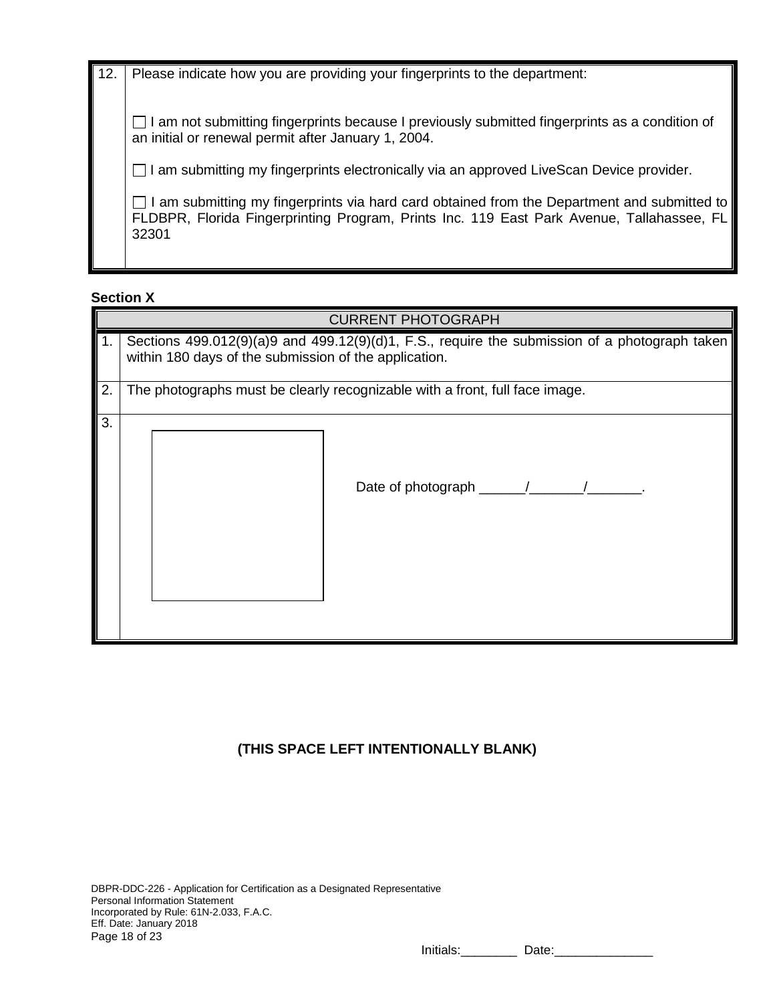| 12. | Please indicate how you are providing your fingerprints to the department:                                                                                                                      |
|-----|-------------------------------------------------------------------------------------------------------------------------------------------------------------------------------------------------|
|     | I am not submitting fingerprints because I previously submitted fingerprints as a condition of<br>an initial or renewal permit after January 1, 2004.                                           |
|     | I am submitting my fingerprints electronically via an approved LiveScan Device provider.                                                                                                        |
|     | am submitting my fingerprints via hard card obtained from the Department and submitted to<br>FLDBPR, Florida Fingerprinting Program, Prints Inc. 119 East Park Avenue, Tallahassee, FL<br>32301 |

# **Section X**

|    | <b>CURRENT PHOTOGRAPH</b>                                                                                                                              |
|----|--------------------------------------------------------------------------------------------------------------------------------------------------------|
|    | Sections 499.012(9)(a)9 and 499.12(9)(d)1, F.S., require the submission of a photograph taken<br>within 180 days of the submission of the application. |
| 2. | The photographs must be clearly recognizable with a front, full face image.                                                                            |
| 3. |                                                                                                                                                        |

# **(THIS SPACE LEFT INTENTIONALLY BLANK)**

DBPR-DDC-226 - Application for Certification as a Designated Representative Personal Information Statement Incorporated by Rule: 61N-2.033, F.A.C. Eff. Date: January 2018 Page 18 of 23

Initials:\_\_\_\_\_\_\_\_\_\_\_\_\_ Date:\_\_\_\_\_\_\_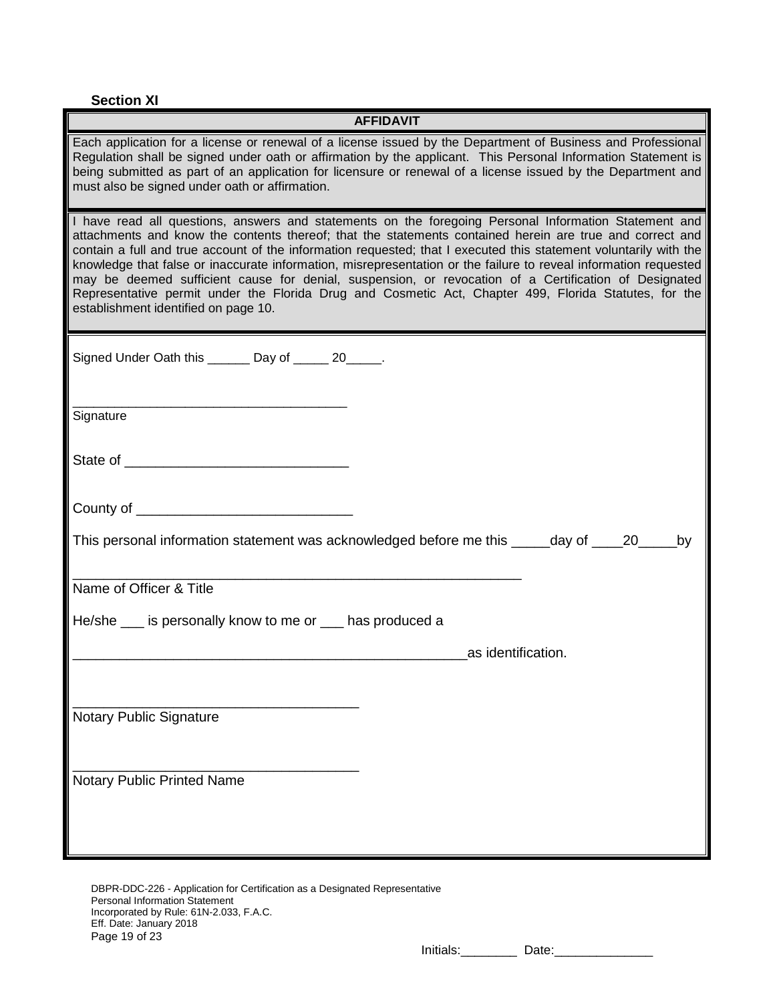## **AFFIDAVIT**

Each application for a license or renewal of a license issued by the Department of Business and Professional Regulation shall be signed under oath or affirmation by the applicant. This Personal Information Statement is being submitted as part of an application for licensure or renewal of a license issued by the Department and must also be signed under oath or affirmation.

I have read all questions, answers and statements on the foregoing Personal Information Statement and attachments and know the contents thereof; that the statements contained herein are true and correct and contain a full and true account of the information requested; that I executed this statement voluntarily with the knowledge that false or inaccurate information, misrepresentation or the failure to reveal information requested may be deemed sufficient cause for denial, suspension, or revocation of a Certification of Designated Representative permit under the Florida Drug and Cosmetic Act, Chapter 499, Florida Statutes, for the establishment identified on page 10.

| Signed Under Oath this _______ Day of ______ 20_____.                                             |
|---------------------------------------------------------------------------------------------------|
| <u> 1980 - Johann Barbara, margaret eta idazlea (h. 1980).</u><br>Signature                       |
|                                                                                                   |
|                                                                                                   |
| This personal information statement was acknowledged before me this _____day of ____20____<br>.by |
| Name of Officer & Title                                                                           |
| He/she ___ is personally know to me or ___ has produced a                                         |
| as identification.                                                                                |
|                                                                                                   |
| Notary Public Signature                                                                           |
| <b>Notary Public Printed Name</b>                                                                 |
|                                                                                                   |

DBPR-DDC-226 - Application for Certification as a Designated Representative Personal Information Statement Incorporated by Rule: 61N-2.033, F.A.C. Eff. Date: January 2018 Page 19 of 23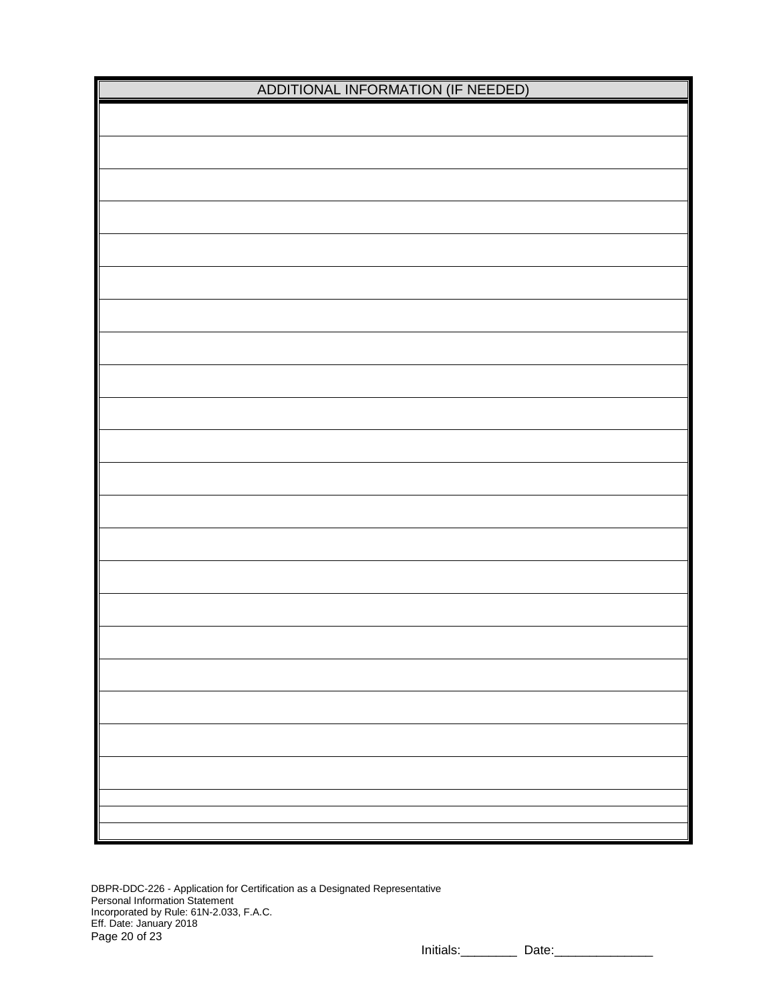| ADDITIONAL INFORMATION (IF NEEDED) |
|------------------------------------|
|                                    |
|                                    |
|                                    |
|                                    |
|                                    |
|                                    |
|                                    |
|                                    |
|                                    |
|                                    |
|                                    |
|                                    |
|                                    |
|                                    |
|                                    |
|                                    |
|                                    |
|                                    |
|                                    |
|                                    |
|                                    |
|                                    |
|                                    |
|                                    |
|                                    |
|                                    |

DBPR-DDC-226 - Application for Certification as a Designated Representative Personal Information Statement Incorporated by Rule: 61N-2.033, F.A.C. Eff. Date: January 2018 Page 20 of 23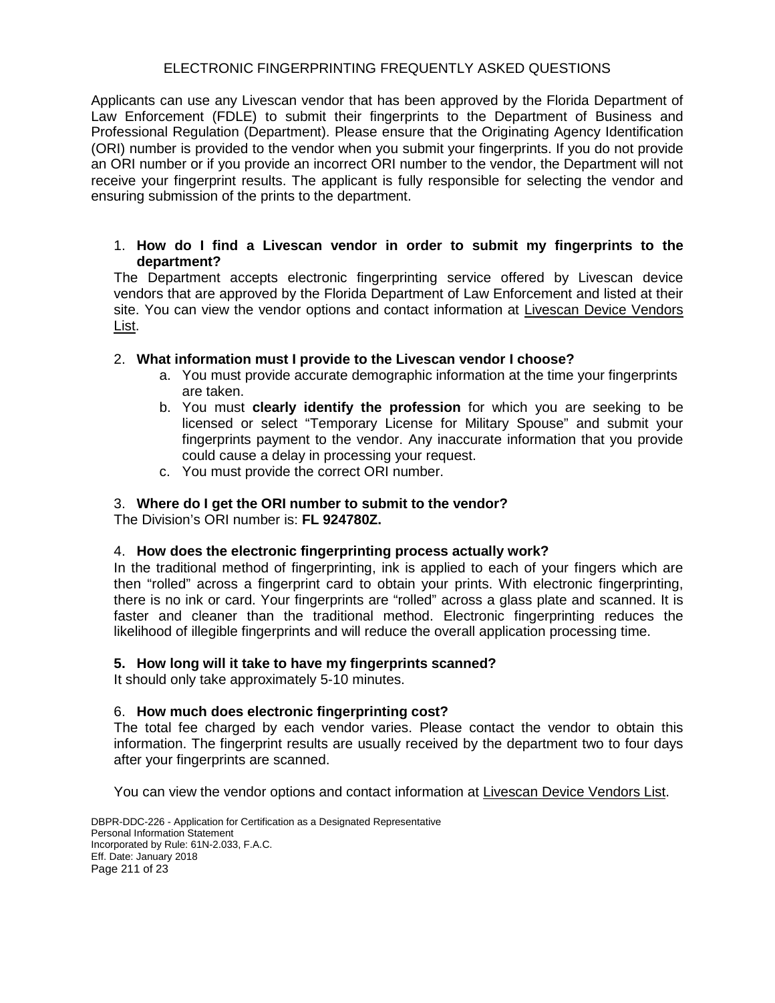# ELECTRONIC FINGERPRINTING FREQUENTLY ASKED QUESTIONS

Applicants can use any Livescan vendor that has been approved by the Florida Department of Law Enforcement (FDLE) to submit their fingerprints to the Department of Business and Professional Regulation (Department). Please ensure that the Originating Agency Identification (ORI) number is provided to the vendor when you submit your fingerprints. If you do not provide an ORI number or if you provide an incorrect ORI number to the vendor, the Department will not receive your fingerprint results. The applicant is fully responsible for selecting the vendor and ensuring submission of the prints to the department.

# 1. **How do I find a Livescan vendor in order to submit my fingerprints to the department?**

The Department accepts electronic fingerprinting service offered by Livescan device vendors that are approved by the Florida Department of Law Enforcement and listed at their site. You can view the vendor options and contact information at [Livescan Device Vendors](http://www.fdle.state.fl.us/cms/Criminal-History-Records/Documents/ApplicantLivescanService-ProvidersVendors.aspx)  [List.](http://www.fdle.state.fl.us/cms/Criminal-History-Records/Documents/ApplicantLivescanService-ProvidersVendors.aspx)

# 2. **What information must I provide to the Livescan vendor I choose?**

- a. You must provide accurate demographic information at the time your fingerprints are taken.
- b. You must **clearly identify the profession** for which you are seeking to be licensed or select "Temporary License for Military Spouse" and submit your fingerprints payment to the vendor. Any inaccurate information that you provide could cause a delay in processing your request.
- c. You must provide the correct ORI number.

# 3. **Where do I get the ORI number to submit to the vendor?**

The Division's ORI number is: **FL 924780Z.**

# 4. **How does the electronic fingerprinting process actually work?**

In the traditional method of fingerprinting, ink is applied to each of your fingers which are then "rolled" across a fingerprint card to obtain your prints. With electronic fingerprinting, there is no ink or card. Your fingerprints are "rolled" across a glass plate and scanned. It is faster and cleaner than the traditional method. Electronic fingerprinting reduces the likelihood of illegible fingerprints and will reduce the overall application processing time.

# **5. How long will it take to have my fingerprints scanned?**

It should only take approximately 5-10 minutes.

# 6. **How much does electronic fingerprinting cost?**

The total fee charged by each vendor varies. Please contact the vendor to obtain this information. The fingerprint results are usually received by the department two to four days after your fingerprints are scanned.

You can view the vendor options and contact information at [Livescan Device Vendors List.](http://www.fdle.state.fl.us/cms/Criminal-History-Records/Documents/ApplicantLivescanService-ProvidersVendors.aspx)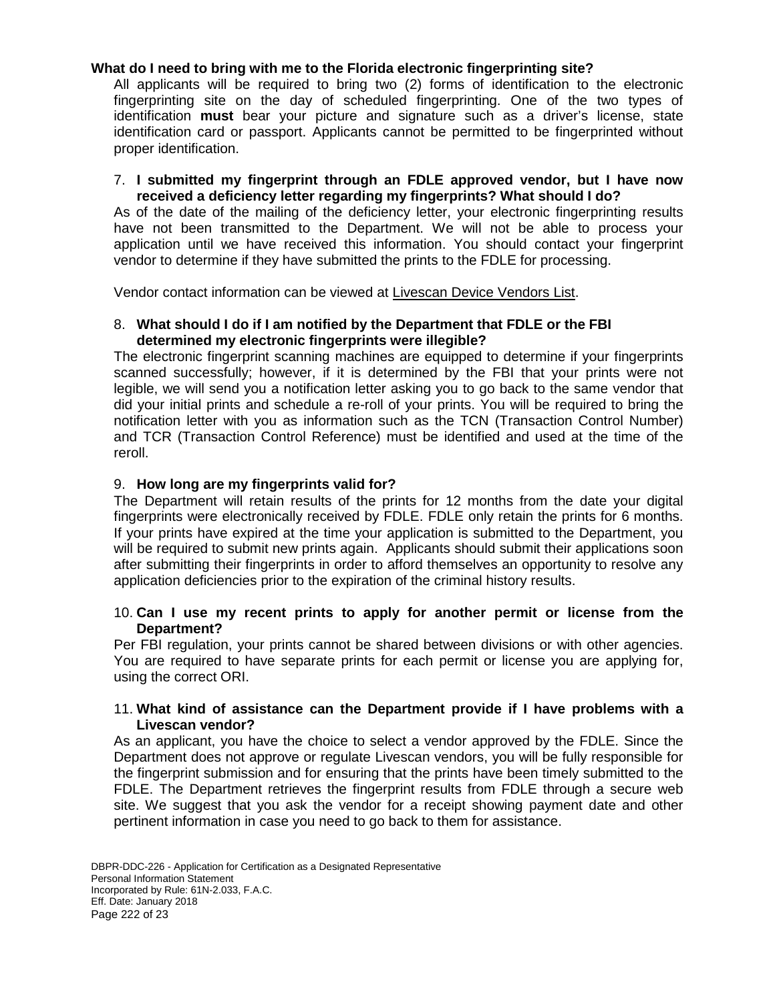# **What do I need to bring with me to the Florida electronic fingerprinting site?**

All applicants will be required to bring two (2) forms of identification to the electronic fingerprinting site on the day of scheduled fingerprinting. One of the two types of identification **must** bear your picture and signature such as a driver's license, state identification card or passport. Applicants cannot be permitted to be fingerprinted without proper identification.

# 7. **I submitted my fingerprint through an FDLE approved vendor, but I have now received a deficiency letter regarding my fingerprints? What should I do?**

As of the date of the mailing of the deficiency letter, your electronic fingerprinting results have not been transmitted to the Department. We will not be able to process your application until we have received this information. You should contact your fingerprint vendor to determine if they have submitted the prints to the FDLE for processing.

Vendor contact information can be viewed at [Livescan Device Vendors List.](http://www.fdle.state.fl.us/cms/Criminal-History-Records/Documents/ApplicantLivescanService-ProvidersVendors.aspx)

# 8. **What should I do if I am notified by the Department that FDLE or the FBI determined my electronic fingerprints were illegible?**

The electronic fingerprint scanning machines are equipped to determine if your fingerprints scanned successfully; however, if it is determined by the FBI that your prints were not legible, we will send you a notification letter asking you to go back to the same vendor that did your initial prints and schedule a re-roll of your prints. You will be required to bring the notification letter with you as information such as the TCN (Transaction Control Number) and TCR (Transaction Control Reference) must be identified and used at the time of the reroll.

# 9. **How long are my fingerprints valid for?**

The Department will retain results of the prints for 12 months from the date your digital fingerprints were electronically received by FDLE. FDLE only retain the prints for 6 months. If your prints have expired at the time your application is submitted to the Department, you will be required to submit new prints again. Applicants should submit their applications soon after submitting their fingerprints in order to afford themselves an opportunity to resolve any application deficiencies prior to the expiration of the criminal history results.

# 10. **Can I use my recent prints to apply for another permit or license from the Department?**

Per FBI regulation, your prints cannot be shared between divisions or with other agencies. You are required to have separate prints for each permit or license you are applying for, using the correct ORI.

# 11. **What kind of assistance can the Department provide if I have problems with a Livescan vendor?**

As an applicant, you have the choice to select a vendor approved by the FDLE. Since the Department does not approve or regulate Livescan vendors, you will be fully responsible for the fingerprint submission and for ensuring that the prints have been timely submitted to the FDLE. The Department retrieves the fingerprint results from FDLE through a secure web site. We suggest that you ask the vendor for a receipt showing payment date and other pertinent information in case you need to go back to them for assistance.